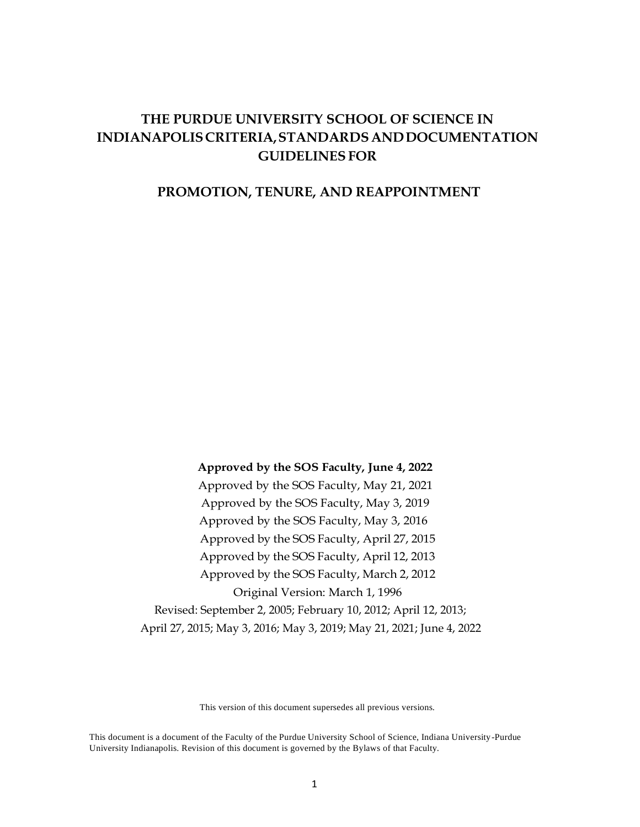# **THE PURDUE UNIVERSITY SCHOOL OF SCIENCE IN INDIANAPOLISCRITERIA,STANDARDSANDDOCUMENTATION GUIDELINES FOR**

# **PROMOTION, TENURE, AND REAPPOINTMENT**

**Approved by the SOS Faculty, June 4, 2022** Approved by the SOS Faculty, May 21, 2021 Approved by the SOS Faculty, May 3, 2019 Approved by the SOS Faculty, May 3, 2016 Approved by the SOS Faculty, April 27, 2015 Approved by the SOS Faculty, April 12, 2013 Approved by the SOS Faculty, March 2, 2012 Original Version: March 1, 1996 Revised: September 2, 2005; February 10, 2012; April 12, 2013; April 27, 2015; May 3, 2016; May 3, 2019; May 21, 2021; June 4, 2022

This version of this document supersedes all previous versions.

This document is a document of the Faculty of the Purdue University School of Science, Indiana University-Purdue University Indianapolis. Revision of this document is governed by the Bylaws of that Faculty.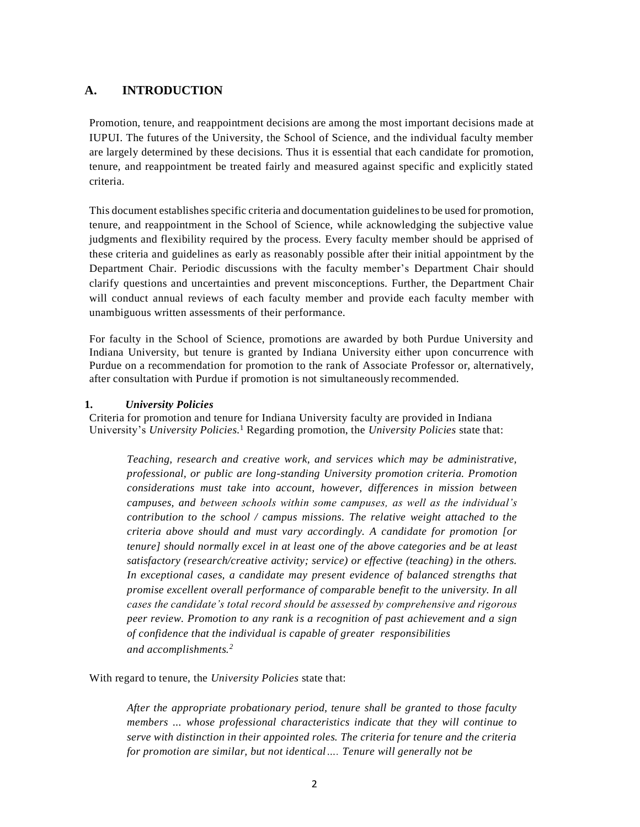# **A. INTRODUCTION**

Promotion, tenure, and reappointment decisions are among the most important decisions made at IUPUI. The futures of the University, the School of Science, and the individual faculty member are largely determined by these decisions. Thus it is essential that each candidate for promotion, tenure, and reappointment be treated fairly and measured against specific and explicitly stated criteria.

This document establishes specific criteria and documentation guidelines to be used for promotion, tenure, and reappointment in the School of Science, while acknowledging the subjective value judgments and flexibility required by the process. Every faculty member should be apprised of these criteria and guidelines as early as reasonably possible after their initial appointment by the Department Chair. Periodic discussions with the faculty member's Department Chair should clarify questions and uncertainties and prevent misconceptions. Further, the Department Chair will conduct annual reviews of each faculty member and provide each faculty member with unambiguous written assessments of their performance.

For faculty in the School of Science, promotions are awarded by both Purdue University and Indiana University, but tenure is granted by Indiana University either upon concurrence with Purdue on a recommendation for promotion to the rank of Associate Professor or, alternatively, after consultation with Purdue if promotion is not simultaneously recommended.

#### **1.** *University Policies*

Criteria for promotion and tenure for Indiana University faculty are provided in Indiana University's *University Policies.* <sup>1</sup> Regarding promotion, the *University Policies* state that:

*Teaching, research and creative work, and services which may be administrative, professional, or public are long-standing University promotion criteria. Promotion considerations must take into account, however, differences in mission between campuses, and between schools within some campuses, as well as the individual's contribution to the school / campus missions. The relative weight attached to the criteria above should and must vary accordingly. A candidate for promotion [or tenure] should normally excel in at least one of the above categories and be at least satisfactory (research/creative activity; service) or effective (teaching) in the others. In exceptional cases, a candidate may present evidence of balanced strengths that promise excellent overall performance of comparable benefit to the university. In all cases the candidate's total record should be assessed by comprehensive and rigorous peer review. Promotion to any rank is a recognition of past achievement and a sign of confidence that the individual is capable of greater responsibilities and accomplishments.<sup>2</sup>*

With regard to tenure, the *University Policies* state that:

*After the appropriate probationary period, tenure shall be granted to those faculty members ... whose professional characteristics indicate that they will continue to serve with distinction in their appointed roles. The criteria for tenure and the criteria for promotion are similar, but not identical…. Tenure will generally not be*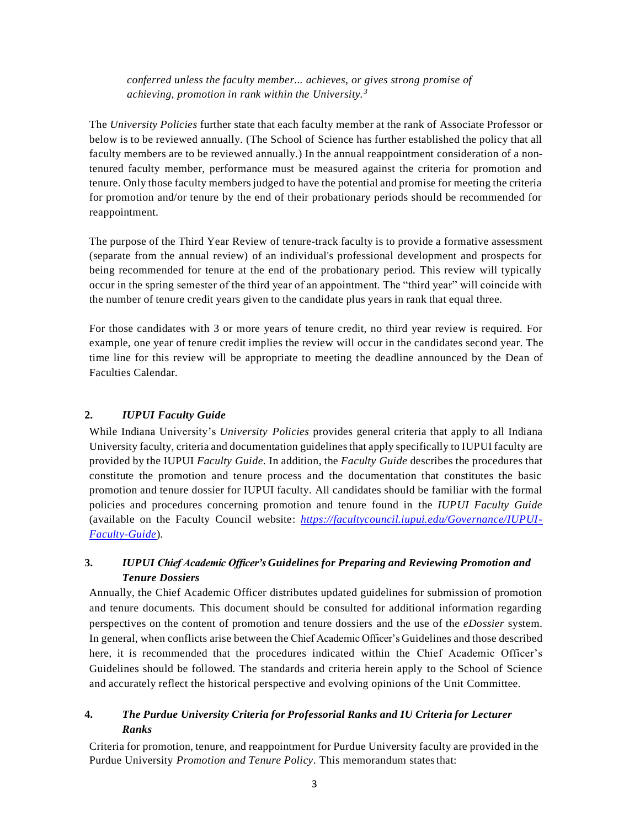*conferred unless the faculty member... achieves, or gives strong promise of achieving, promotion in rank within the University.<sup>3</sup>*

The *University Policies* further state that each faculty member at the rank of Associate Professor or below is to be reviewed annually. (The School of Science has further established the policy that all faculty members are to be reviewed annually.) In the annual reappointment consideration of a nontenured faculty member, performance must be measured against the criteria for promotion and tenure. Only those faculty members judged to have the potential and promise for meeting the criteria for promotion and/or tenure by the end of their probationary periods should be recommended for reappointment.

The purpose of the Third Year Review of tenure-track faculty is to provide a formative assessment (separate from the annual review) of an individual's professional development and prospects for being recommended for tenure at the end of the probationary period. This review will typically occur in the spring semester of the third year of an appointment. The "third year" will coincide with the number of tenure credit years given to the candidate plus years in rank that equal three.

For those candidates with 3 or more years of tenure credit, no third year review is required. For example, one year of tenure credit implies the review will occur in the candidates second year. The time line for this review will be appropriate to meeting the deadline announced by the Dean of Faculties Calendar.

### **2.** *IUPUI Faculty Guide*

While Indiana University's *University Policies* provides general criteria that apply to all Indiana University faculty, criteria and documentation guidelinesthat apply specifically to IUPUI faculty are provided by the IUPUI *Faculty Guide*. In addition, the *Faculty Guide* describes the procedures that constitute the promotion and tenure process and the documentation that constitutes the basic promotion and tenure dossier for IUPUI faculty. All candidates should be familiar with the formal policies and procedures concerning promotion and tenure found in the *IUPUI Faculty Guide* (available on the Faculty Council website: *[https://facultycouncil.iupui.edu/Governance/IUPUI-](https://facultycouncil.iupui.edu/Governance/IUPUI-Faculty-Guide)[Faculty-Guide](https://facultycouncil.iupui.edu/Governance/IUPUI-Faculty-Guide)*).

# **3.** *IUPUI Chief Academic Officer's Guidelines for Preparing and Reviewing Promotion and Tenure Dossiers*

Annually, the Chief Academic Officer distributes updated guidelines for submission of promotion and tenure documents. This document should be consulted for additional information regarding perspectives on the content of promotion and tenure dossiers and the use of the *eDossier* system. In general, when conflicts arise between the Chief Academic Officer's Guidelines and those described here, it is recommended that the procedures indicated within the Chief Academic Officer's Guidelines should be followed. The standards and criteria herein apply to the School of Science and accurately reflect the historical perspective and evolving opinions of the Unit Committee.

### **4.** *The Purdue University Criteria for Professorial Ranks and IU Criteria for Lecturer Ranks*

Criteria for promotion, tenure, and reappointment for Purdue University faculty are provided in the Purdue University *Promotion and Tenure Policy*. This memorandum states that: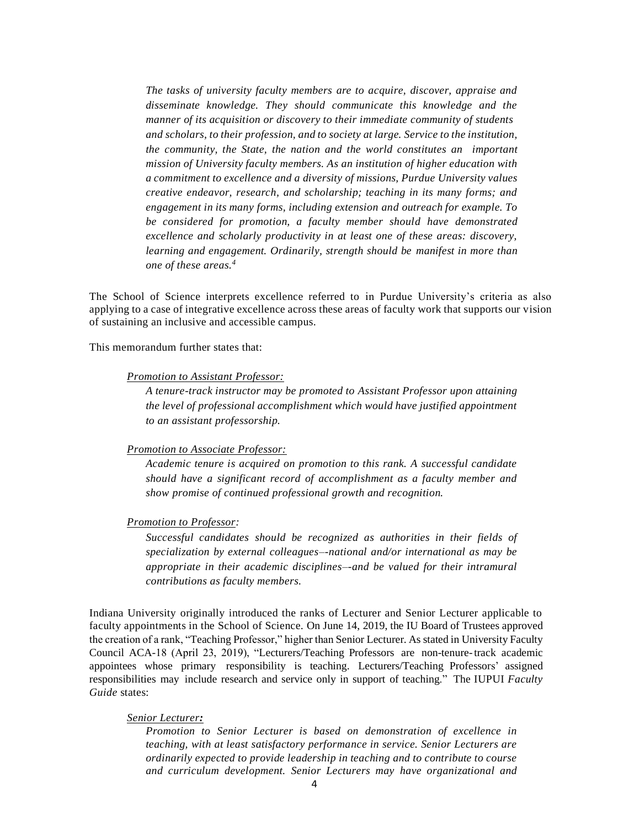*The tasks of university faculty members are to acquire, discover, appraise and disseminate knowledge. They should communicate this knowledge and the manner of its acquisition or discovery to their immediate community of students and scholars, to their profession, and to society at large. Service to the institution, the community, the State, the nation and the world constitutes an important mission of University faculty members. As an institution of higher education with a commitment to excellence and a diversity of missions, Purdue University values creative endeavor, research, and scholarship; teaching in its many forms; and engagement in its many forms, including extension and outreach for example. To be considered for promotion, a faculty member should have demonstrated excellence and scholarly productivity in at least one of these areas: discovery, learning and engagement. Ordinarily, strength should be manifest in more than one of these areas.<sup>4</sup>*

The School of Science interprets excellence referred to in Purdue University's criteria as also applying to a case of integrative excellence across these areas of faculty work that supports our vision of sustaining an inclusive and accessible campus.

This memorandum further states that:

#### *Promotion to Assistant Professor:*

*A tenure-track instructor may be promoted to Assistant Professor upon attaining the level of professional accomplishment which would have justified appointment to an assistant professorship.*

#### *Promotion to Associate Professor:*

*Academic tenure is acquired on promotion to this rank. A successful candidate should have a significant record of accomplishment as a faculty member and show promise of continued professional growth and recognition.*

#### *Promotion to Professor:*

*Successful candidates should be recognized as authorities in their fields of specialization by external colleagues–-national and/or international as may be appropriate in their academic disciplines–-and be valued for their intramural contributions as faculty members.*

Indiana University originally introduced the ranks of Lecturer and Senior Lecturer applicable to faculty appointments in the School of Science. On June 14, 2019, the IU Board of Trustees approved the creation of a rank, "Teaching Professor," higher than Senior Lecturer. As stated in University Faculty Council ACA-18 (April 23, 2019), "Lecturers/Teaching Professors are non-tenure-track academic appointees whose primary responsibility is teaching. Lecturers/Teaching Professors' assigned responsibilities may include research and service only in support of teaching." The IUPUI *Faculty Guide* states:

#### *Senior Lecturer:*

*Promotion to Senior Lecturer is based on demonstration of excellence in teaching, with at least satisfactory performance in service. Senior Lecturers are ordinarily expected to provide leadership in teaching and to contribute to course and curriculum development. Senior Lecturers may have organizational and*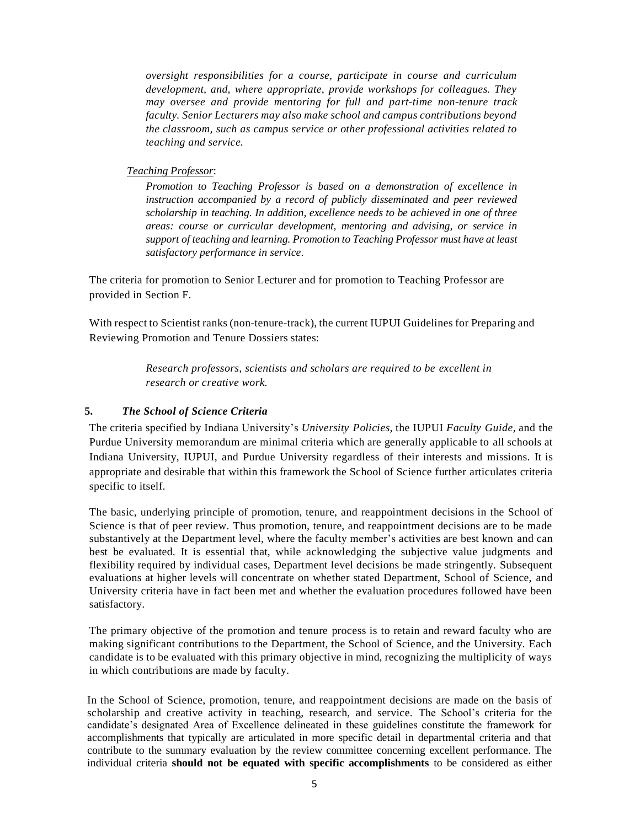*oversight responsibilities for a course, participate in course and curriculum development, and, where appropriate, provide workshops for colleagues. They may oversee and provide mentoring for full and part-time non-tenure track faculty. Senior Lecturers may also make school and campus contributions beyond the classroom, such as campus service or other professional activities related to teaching and service.*

#### *Teaching Professor*:

*Promotion to Teaching Professor is based on a demonstration of excellence in instruction accompanied by a record of publicly disseminated and peer reviewed scholarship in teaching. In addition, excellence needs to be achieved in one of three areas: course or curricular development, mentoring and advising, or service in support of teaching and learning. Promotion to Teaching Professor must have at least satisfactory performance in service*.

The criteria for promotion to Senior Lecturer and for promotion to Teaching Professor are provided in Section F.

With respect to Scientist ranks (non-tenure-track), the current IUPUI Guidelines for Preparing and Reviewing Promotion and Tenure Dossiers states:

> *Research professors, scientists and scholars are required to be excellent in research or creative work.*

### **5.** *The School of Science Criteria*

The criteria specified by Indiana University's *University Policies*, the IUPUI *Faculty Guide*, and the Purdue University memorandum are minimal criteria which are generally applicable to all schools at Indiana University, IUPUI, and Purdue University regardless of their interests and missions. It is appropriate and desirable that within this framework the School of Science further articulates criteria specific to itself.

The basic, underlying principle of promotion, tenure, and reappointment decisions in the School of Science is that of peer review. Thus promotion, tenure, and reappointment decisions are to be made substantively at the Department level, where the faculty member's activities are best known and can best be evaluated. It is essential that, while acknowledging the subjective value judgments and flexibility required by individual cases, Department level decisions be made stringently. Subsequent evaluations at higher levels will concentrate on whether stated Department, School of Science, and University criteria have in fact been met and whether the evaluation procedures followed have been satisfactory.

The primary objective of the promotion and tenure process is to retain and reward faculty who are making significant contributions to the Department, the School of Science, and the University. Each candidate is to be evaluated with this primary objective in mind, recognizing the multiplicity of ways in which contributions are made by faculty.

In the School of Science, promotion, tenure, and reappointment decisions are made on the basis of scholarship and creative activity in teaching, research, and service. The School's criteria for the candidate's designated Area of Excellence delineated in these guidelines constitute the framework for accomplishments that typically are articulated in more specific detail in departmental criteria and that contribute to the summary evaluation by the review committee concerning excellent performance. The individual criteria **should not be equated with specific accomplishments** to be considered as either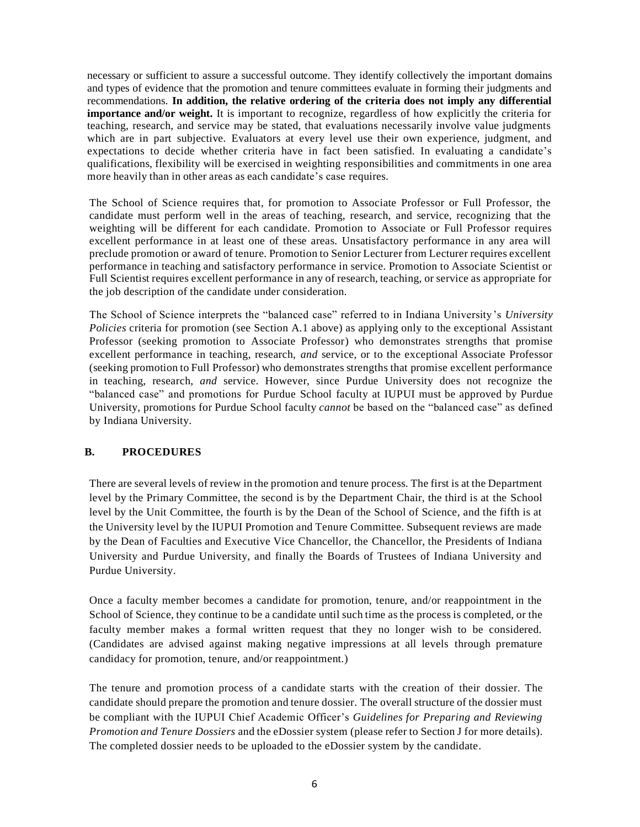necessary or sufficient to assure a successful outcome. They identify collectively the important domains and types of evidence that the promotion and tenure committees evaluate in forming their judgments and recommendations. **In addition, the relative ordering of the criteria does not imply any differential importance and/or weight.** It is important to recognize, regardless of how explicitly the criteria for teaching, research, and service may be stated, that evaluations necessarily involve value judgments which are in part subjective. Evaluators at every level use their own experience, judgment, and expectations to decide whether criteria have in fact been satisfied. In evaluating a candidate's qualifications, flexibility will be exercised in weighting responsibilities and commitments in one area more heavily than in other areas as each candidate's case requires.

The School of Science requires that, for promotion to Associate Professor or Full Professor, the candidate must perform well in the areas of teaching, research, and service, recognizing that the weighting will be different for each candidate. Promotion to Associate or Full Professor requires excellent performance in at least one of these areas. Unsatisfactory performance in any area will preclude promotion or award of tenure. Promotion to Senior Lecturer from Lecturer requires excellent performance in teaching and satisfactory performance in service. Promotion to Associate Scientist or Full Scientist requires excellent performance in any of research, teaching, or service as appropriate for the job description of the candidate under consideration.

The School of Science interprets the "balanced case" referred to in Indiana University's *University Policies* criteria for promotion (see Section A.1 above) as applying only to the exceptional Assistant Professor (seeking promotion to Associate Professor) who demonstrates strengths that promise excellent performance in teaching, research, *and* service, or to the exceptional Associate Professor (seeking promotion to Full Professor) who demonstrates strengths that promise excellent performance in teaching, research, *and* service. However, since Purdue University does not recognize the "balanced case" and promotions for Purdue School faculty at IUPUI must be approved by Purdue University, promotions for Purdue School faculty *cannot* be based on the "balanced case" as defined by Indiana University.

### **B. PROCEDURES**

There are several levels of review in the promotion and tenure process. The first is at the Department level by the Primary Committee, the second is by the Department Chair, the third is at the School level by the Unit Committee, the fourth is by the Dean of the School of Science, and the fifth is at the University level by the IUPUI Promotion and Tenure Committee. Subsequent reviews are made by the Dean of Faculties and Executive Vice Chancellor, the Chancellor, the Presidents of Indiana University and Purdue University, and finally the Boards of Trustees of Indiana University and Purdue University.

Once a faculty member becomes a candidate for promotion, tenure, and/or reappointment in the School of Science, they continue to be a candidate until such time as the process is completed, or the faculty member makes a formal written request that they no longer wish to be considered. (Candidates are advised against making negative impressions at all levels through premature candidacy for promotion, tenure, and/or reappointment.)

The tenure and promotion process of a candidate starts with the creation of their dossier. The candidate should prepare the promotion and tenure dossier. The overall structure of the dossier must be compliant with the IUPUI Chief Academic Officer's *Guidelines for Preparing and Reviewing Promotion and Tenure Dossiers* and the eDossier system (please refer to Section J for more details). The completed dossier needs to be uploaded to the eDossier system by the candidate.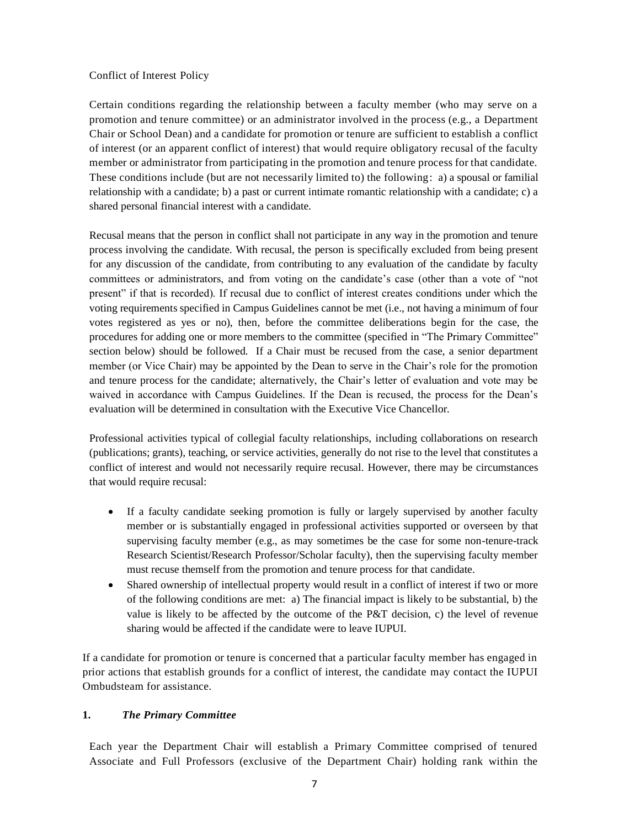#### Conflict of Interest Policy

Certain conditions regarding the relationship between a faculty member (who may serve on a promotion and tenure committee) or an administrator involved in the process (e.g., a Department Chair or School Dean) and a candidate for promotion or tenure are sufficient to establish a conflict of interest (or an apparent conflict of interest) that would require obligatory recusal of the faculty member or administrator from participating in the promotion and tenure process for that candidate. These conditions include (but are not necessarily limited to) the following: a) a spousal or familial relationship with a candidate; b) a past or current intimate romantic relationship with a candidate; c) a shared personal financial interest with a candidate.

Recusal means that the person in conflict shall not participate in any way in the promotion and tenure process involving the candidate. With recusal, the person is specifically excluded from being present for any discussion of the candidate, from contributing to any evaluation of the candidate by faculty committees or administrators, and from voting on the candidate's case (other than a vote of "not present" if that is recorded). If recusal due to conflict of interest creates conditions under which the voting requirements specified in Campus Guidelines cannot be met (i.e., not having a minimum of four votes registered as yes or no), then, before the committee deliberations begin for the case, the procedures for adding one or more members to the committee (specified in "The Primary Committee" section below) should be followed. If a Chair must be recused from the case, a senior department member (or Vice Chair) may be appointed by the Dean to serve in the Chair's role for the promotion and tenure process for the candidate; alternatively, the Chair's letter of evaluation and vote may be waived in accordance with Campus Guidelines. If the Dean is recused, the process for the Dean's evaluation will be determined in consultation with the Executive Vice Chancellor.

Professional activities typical of collegial faculty relationships, including collaborations on research (publications; grants), teaching, or service activities, generally do not rise to the level that constitutes a conflict of interest and would not necessarily require recusal. However, there may be circumstances that would require recusal:

- If a faculty candidate seeking promotion is fully or largely supervised by another faculty member or is substantially engaged in professional activities supported or overseen by that supervising faculty member (e.g., as may sometimes be the case for some non-tenure-track Research Scientist/Research Professor/Scholar faculty), then the supervising faculty member must recuse themself from the promotion and tenure process for that candidate.
- Shared ownership of intellectual property would result in a conflict of interest if two or more of the following conditions are met: a) The financial impact is likely to be substantial, b) the value is likely to be affected by the outcome of the P&T decision, c) the level of revenue sharing would be affected if the candidate were to leave IUPUI.

If a candidate for promotion or tenure is concerned that a particular faculty member has engaged in prior actions that establish grounds for a conflict of interest, the candidate may contact the IUPUI Ombudsteam for assistance.

### **1.** *The Primary Committee*

Each year the Department Chair will establish a Primary Committee comprised of tenured Associate and Full Professors (exclusive of the Department Chair) holding rank within the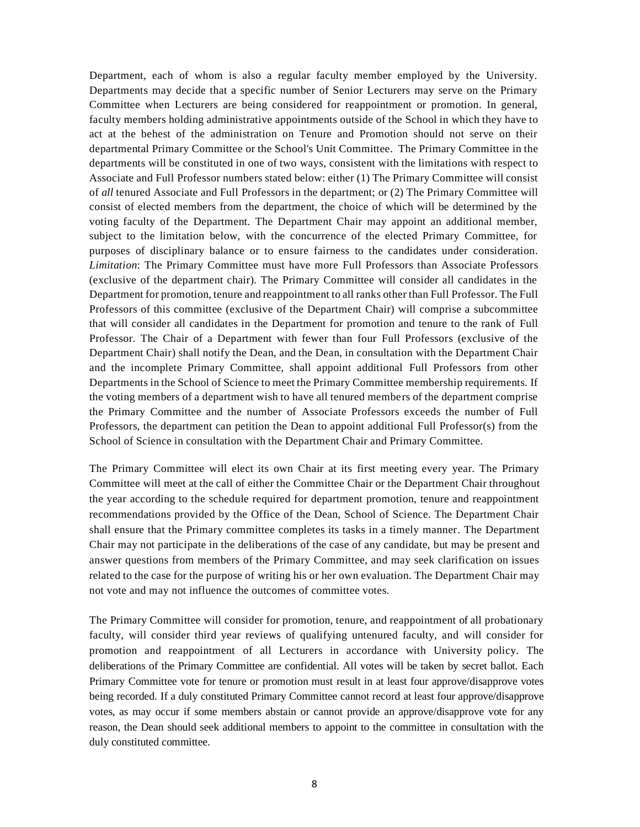Department, each of whom is also a regular faculty member employed by the University. Departments may decide that a specific number of Senior Lecturers may serve on the Primary Committee when Lecturers are being considered for reappointment or promotion. In general, faculty members holding administrative appointments outside of the School in which they have to act at the behest of the administration on Tenure and Promotion should not serve on their departmental Primary Committee or the School's Unit Committee. The Primary Committee in the departments will be constituted in one of two ways, consistent with the limitations with respect to Associate and Full Professor numbers stated below: either (1) The Primary Committee will consist of *all* tenured Associate and Full Professors in the department; or (2) The Primary Committee will consist of elected members from the department, the choice of which will be determined by the voting faculty of the Department. The Department Chair may appoint an additional member, subject to the limitation below, with the concurrence of the elected Primary Committee, for purposes of disciplinary balance or to ensure fairness to the candidates under consideration. *Limitation*: The Primary Committee must have more Full Professors than Associate Professors (exclusive of the department chair). The Primary Committee will consider all candidates in the Department for promotion, tenure and reappointment to all ranks other than Full Professor. The Full Professors of this committee (exclusive of the Department Chair) will comprise a subcommittee that will consider all candidates in the Department for promotion and tenure to the rank of Full Professor. The Chair of a Department with fewer than four Full Professors (exclusive of the Department Chair) shall notify the Dean, and the Dean, in consultation with the Department Chair and the incomplete Primary Committee, shall appoint additional Full Professors from other Departments in the School of Science to meet the Primary Committee membership requirements. If the voting members of a department wish to have all tenured members of the department comprise the Primary Committee and the number of Associate Professors exceeds the number of Full Professors, the department can petition the Dean to appoint additional Full Professor(s) from the School of Science in consultation with the Department Chair and Primary Committee.

The Primary Committee will elect its own Chair at its first meeting every year. The Primary Committee will meet at the call of either the Committee Chair or the Department Chair throughout the year according to the schedule required for department promotion, tenure and reappointment recommendations provided by the Office of the Dean, School of Science. The Department Chair shall ensure that the Primary committee completes its tasks in a timely manner. The Department Chair may not participate in the deliberations of the case of any candidate, but may be present and answer questions from members of the Primary Committee, and may seek clarification on issues related to the case for the purpose of writing his or her own evaluation. The Department Chair may not vote and may not influence the outcomes of committee votes.

The Primary Committee will consider for promotion, tenure, and reappointment of all probationary faculty, will consider third year reviews of qualifying untenured faculty, and will consider for promotion and reappointment of all Lecturers in accordance with University policy. The deliberations of the Primary Committee are confidential. All votes will be taken by secret ballot. Each Primary Committee vote for tenure or promotion must result in at least four approve/disapprove votes being recorded. If a duly constituted Primary Committee cannot record at least four approve/disapprove votes, as may occur if some members abstain or cannot provide an approve/disapprove vote for any reason, the Dean should seek additional members to appoint to the committee in consultation with the duly constituted committee.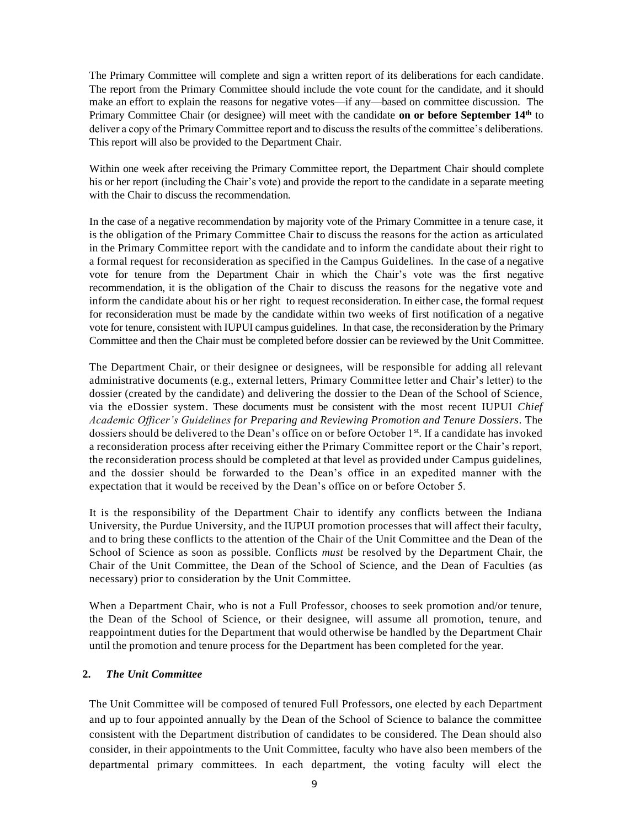The Primary Committee will complete and sign a written report of its deliberations for each candidate. The report from the Primary Committee should include the vote count for the candidate, and it should make an effort to explain the reasons for negative votes—if any—based on committee discussion. The Primary Committee Chair (or designee) will meet with the candidate **on or before September 14th** to deliver a copy of the Primary Committee report and to discuss the results of the committee's deliberations. This report will also be provided to the Department Chair.

Within one week after receiving the Primary Committee report, the Department Chair should complete his or her report (including the Chair's vote) and provide the report to the candidate in a separate meeting with the Chair to discuss the recommendation.

In the case of a negative recommendation by majority vote of the Primary Committee in a tenure case, it is the obligation of the Primary Committee Chair to discuss the reasons for the action as articulated in the Primary Committee report with the candidate and to inform the candidate about their right to a formal request for reconsideration as specified in the Campus Guidelines. In the case of a negative vote for tenure from the Department Chair in which the Chair's vote was the first negative recommendation, it is the obligation of the Chair to discuss the reasons for the negative vote and inform the candidate about his or her right to request reconsideration. In either case, the formal request for reconsideration must be made by the candidate within two weeks of first notification of a negative vote for tenure, consistent with IUPUI campus guidelines. In that case, the reconsideration by the Primary Committee and then the Chair must be completed before dossier can be reviewed by the Unit Committee.

The Department Chair, or their designee or designees, will be responsible for adding all relevant administrative documents (e.g., external letters, Primary Committee letter and Chair's letter) to the dossier (created by the candidate) and delivering the dossier to the Dean of the School of Science, via the eDossier system. These documents must be consistent with the most recent IUPUI *Chief Academic Officer's Guidelines for Preparing and Reviewing Promotion and Tenure Dossiers*. The dossiers should be delivered to the Dean's office on or before October 1st. If a candidate has invoked a reconsideration process after receiving either the Primary Committee report or the Chair's report, the reconsideration process should be completed at that level as provided under Campus guidelines, and the dossier should be forwarded to the Dean's office in an expedited manner with the expectation that it would be received by the Dean's office on or before October 5.

It is the responsibility of the Department Chair to identify any conflicts between the Indiana University, the Purdue University, and the IUPUI promotion processes that will affect their faculty, and to bring these conflicts to the attention of the Chair of the Unit Committee and the Dean of the School of Science as soon as possible. Conflicts *must* be resolved by the Department Chair, the Chair of the Unit Committee, the Dean of the School of Science, and the Dean of Faculties (as necessary) prior to consideration by the Unit Committee.

When a Department Chair, who is not a Full Professor, chooses to seek promotion and/or tenure, the Dean of the School of Science, or their designee, will assume all promotion, tenure, and reappointment duties for the Department that would otherwise be handled by the Department Chair until the promotion and tenure process for the Department has been completed for the year.

#### **2.** *The Unit Committee*

The Unit Committee will be composed of tenured Full Professors, one elected by each Department and up to four appointed annually by the Dean of the School of Science to balance the committee consistent with the Department distribution of candidates to be considered. The Dean should also consider, in their appointments to the Unit Committee, faculty who have also been members of the departmental primary committees. In each department, the voting faculty will elect the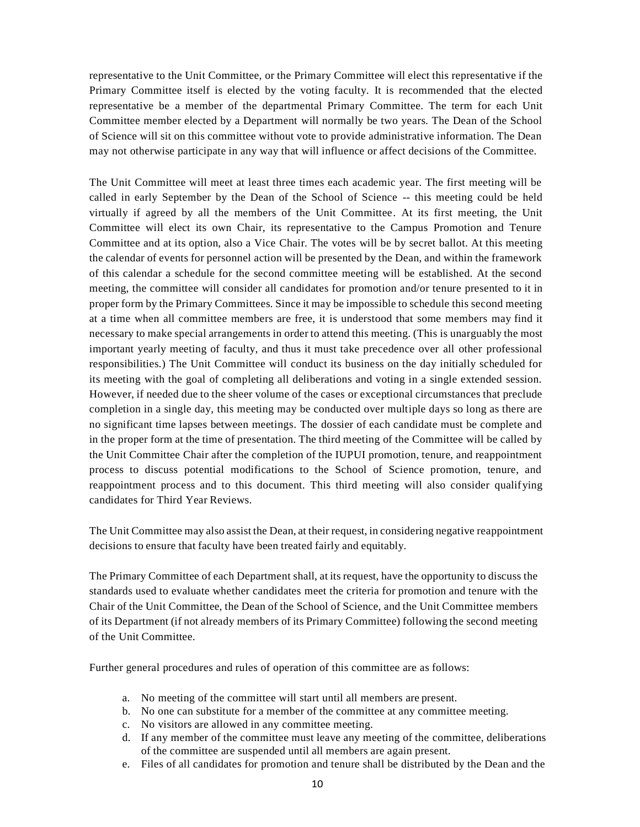representative to the Unit Committee, or the Primary Committee will elect this representative if the Primary Committee itself is elected by the voting faculty. It is recommended that the elected representative be a member of the departmental Primary Committee. The term for each Unit Committee member elected by a Department will normally be two years. The Dean of the School of Science will sit on this committee without vote to provide administrative information. The Dean may not otherwise participate in any way that will influence or affect decisions of the Committee.

The Unit Committee will meet at least three times each academic year. The first meeting will be called in early September by the Dean of the School of Science -- this meeting could be held virtually if agreed by all the members of the Unit Committee. At its first meeting, the Unit Committee will elect its own Chair, its representative to the Campus Promotion and Tenure Committee and at its option, also a Vice Chair. The votes will be by secret ballot. At this meeting the calendar of events for personnel action will be presented by the Dean, and within the framework of this calendar a schedule for the second committee meeting will be established. At the second meeting, the committee will consider all candidates for promotion and/or tenure presented to it in proper form by the Primary Committees. Since it may be impossible to schedule this second meeting at a time when all committee members are free, it is understood that some members may find it necessary to make special arrangements in order to attend this meeting. (This is unarguably the most important yearly meeting of faculty, and thus it must take precedence over all other professional responsibilities.) The Unit Committee will conduct its business on the day initially scheduled for its meeting with the goal of completing all deliberations and voting in a single extended session. However, if needed due to the sheer volume of the cases or exceptional circumstances that preclude completion in a single day, this meeting may be conducted over multiple days so long as there are no significant time lapses between meetings. The dossier of each candidate must be complete and in the proper form at the time of presentation. The third meeting of the Committee will be called by the Unit Committee Chair after the completion of the IUPUI promotion, tenure, and reappointment process to discuss potential modifications to the School of Science promotion, tenure, and reappointment process and to this document. This third meeting will also consider qualifying candidates for Third Year Reviews.

The Unit Committee may also assist the Dean, at their request, in considering negative reappointment decisions to ensure that faculty have been treated fairly and equitably.

The Primary Committee of each Department shall, at its request, have the opportunity to discuss the standards used to evaluate whether candidates meet the criteria for promotion and tenure with the Chair of the Unit Committee, the Dean of the School of Science, and the Unit Committee members of its Department (if not already members of its Primary Committee) following the second meeting of the Unit Committee.

Further general procedures and rules of operation of this committee are as follows:

- a. No meeting of the committee will start until all members are present.
- b. No one can substitute for a member of the committee at any committee meeting.
- c. No visitors are allowed in any committee meeting.
- d. If any member of the committee must leave any meeting of the committee, deliberations of the committee are suspended until all members are again present.
- e. Files of all candidates for promotion and tenure shall be distributed by the Dean and the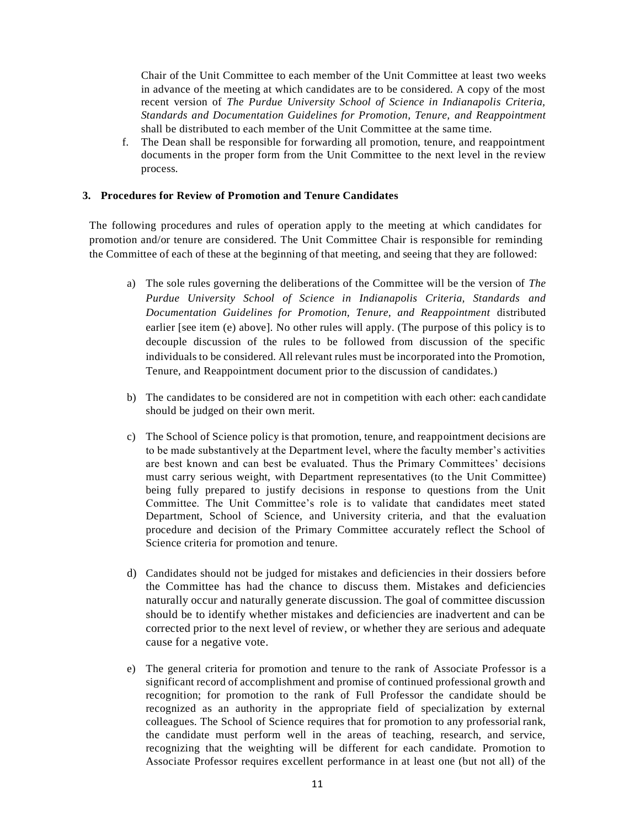Chair of the Unit Committee to each member of the Unit Committee at least two weeks in advance of the meeting at which candidates are to be considered. A copy of the most recent version of *The Purdue University School of Science in Indianapolis Criteria, Standards and Documentation Guidelines for Promotion, Tenure, and Reappointment*  shall be distributed to each member of the Unit Committee at the same time.

f. The Dean shall be responsible for forwarding all promotion, tenure, and reappointment documents in the proper form from the Unit Committee to the next level in the review process.

#### **3. Procedures for Review of Promotion and Tenure Candidates**

The following procedures and rules of operation apply to the meeting at which candidates for promotion and/or tenure are considered. The Unit Committee Chair is responsible for reminding the Committee of each of these at the beginning of that meeting, and seeing that they are followed:

- a) The sole rules governing the deliberations of the Committee will be the version of *The Purdue University School of Science in Indianapolis Criteria, Standards and Documentation Guidelines for Promotion, Tenure, and Reappointment* distributed earlier [see item (e) above]. No other rules will apply. (The purpose of this policy is to decouple discussion of the rules to be followed from discussion of the specific individuals to be considered. All relevant rules must be incorporated into the Promotion, Tenure, and Reappointment document prior to the discussion of candidates.)
- b) The candidates to be considered are not in competition with each other: each candidate should be judged on their own merit.
- c) The School of Science policy is that promotion, tenure, and reappointment decisions are to be made substantively at the Department level, where the faculty member's activities are best known and can best be evaluated. Thus the Primary Committees' decisions must carry serious weight, with Department representatives (to the Unit Committee) being fully prepared to justify decisions in response to questions from the Unit Committee. The Unit Committee's role is to validate that candidates meet stated Department, School of Science, and University criteria, and that the evaluation procedure and decision of the Primary Committee accurately reflect the School of Science criteria for promotion and tenure.
- d) Candidates should not be judged for mistakes and deficiencies in their dossiers before the Committee has had the chance to discuss them. Mistakes and deficiencies naturally occur and naturally generate discussion. The goal of committee discussion should be to identify whether mistakes and deficiencies are inadvertent and can be corrected prior to the next level of review, or whether they are serious and adequate cause for a negative vote.
- e) The general criteria for promotion and tenure to the rank of Associate Professor is a significant record of accomplishment and promise of continued professional growth and recognition; for promotion to the rank of Full Professor the candidate should be recognized as an authority in the appropriate field of specialization by external colleagues. The School of Science requires that for promotion to any professorial rank, the candidate must perform well in the areas of teaching, research, and service, recognizing that the weighting will be different for each candidate. Promotion to Associate Professor requires excellent performance in at least one (but not all) of the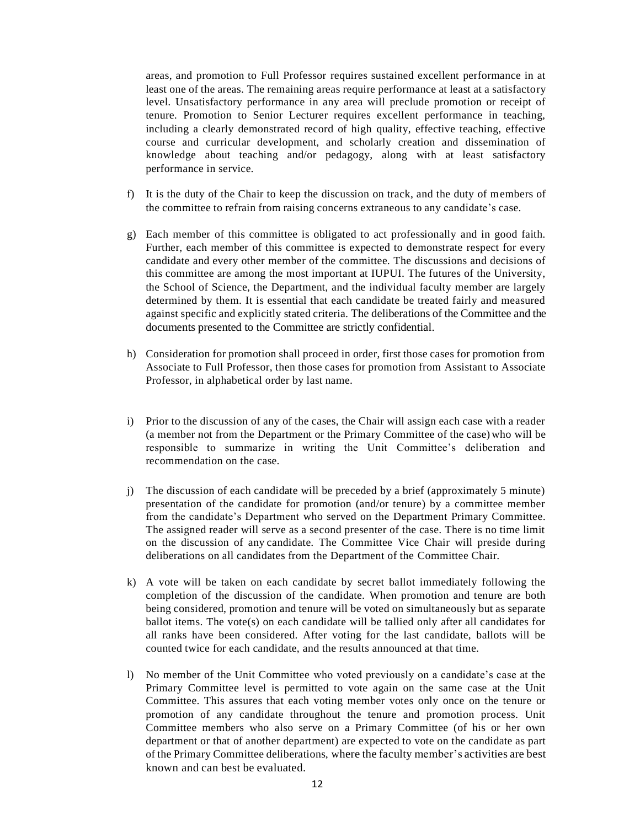areas, and promotion to Full Professor requires sustained excellent performance in at least one of the areas. The remaining areas require performance at least at a satisfactory level. Unsatisfactory performance in any area will preclude promotion or receipt of tenure. Promotion to Senior Lecturer requires excellent performance in teaching, including a clearly demonstrated record of high quality, effective teaching, effective course and curricular development, and scholarly creation and dissemination of knowledge about teaching and/or pedagogy, along with at least satisfactory performance in service.

- f) It is the duty of the Chair to keep the discussion on track, and the duty of members of the committee to refrain from raising concerns extraneous to any candidate's case.
- g) Each member of this committee is obligated to act professionally and in good faith. Further, each member of this committee is expected to demonstrate respect for every candidate and every other member of the committee. The discussions and decisions of this committee are among the most important at IUPUI. The futures of the University, the School of Science, the Department, and the individual faculty member are largely determined by them. It is essential that each candidate be treated fairly and measured against specific and explicitly stated criteria. The deliberations of the Committee and the documents presented to the Committee are strictly confidential.
- h) Consideration for promotion shall proceed in order, first those cases for promotion from Associate to Full Professor, then those cases for promotion from Assistant to Associate Professor, in alphabetical order by last name.
- i) Prior to the discussion of any of the cases, the Chair will assign each case with a reader (a member not from the Department or the Primary Committee of the case) who will be responsible to summarize in writing the Unit Committee's deliberation and recommendation on the case.
- j) The discussion of each candidate will be preceded by a brief (approximately 5 minute) presentation of the candidate for promotion (and/or tenure) by a committee member from the candidate's Department who served on the Department Primary Committee. The assigned reader will serve as a second presenter of the case. There is no time limit on the discussion of any candidate. The Committee Vice Chair will preside during deliberations on all candidates from the Department of the Committee Chair.
- k) A vote will be taken on each candidate by secret ballot immediately following the completion of the discussion of the candidate. When promotion and tenure are both being considered, promotion and tenure will be voted on simultaneously but as separate ballot items. The vote(s) on each candidate will be tallied only after all candidates for all ranks have been considered. After voting for the last candidate, ballots will be counted twice for each candidate, and the results announced at that time.
- l) No member of the Unit Committee who voted previously on a candidate's case at the Primary Committee level is permitted to vote again on the same case at the Unit Committee. This assures that each voting member votes only once on the tenure or promotion of any candidate throughout the tenure and promotion process. Unit Committee members who also serve on a Primary Committee (of his or her own department or that of another department) are expected to vote on the candidate as part of the Primary Committee deliberations, where the faculty member's activities are best known and can best be evaluated.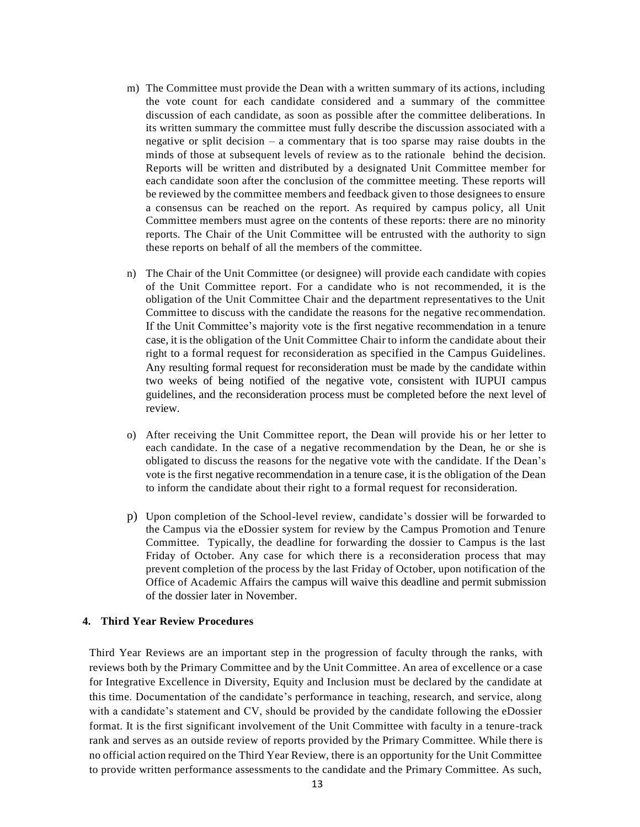- m) The Committee must provide the Dean with a written summary of its actions, including the vote count for each candidate considered and a summary of the committee discussion of each candidate, as soon as possible after the committee deliberations. In its written summary the committee must fully describe the discussion associated with a negative or split decision – a commentary that is too sparse may raise doubts in the minds of those at subsequent levels of review as to the rationale behind the decision. Reports will be written and distributed by a designated Unit Committee member for each candidate soon after the conclusion of the committee meeting. These reports will be reviewed by the committee members and feedback given to those designees to ensure a consensus can be reached on the report. As required by campus policy, all Unit Committee members must agree on the contents of these reports: there are no minority reports. The Chair of the Unit Committee will be entrusted with the authority to sign these reports on behalf of all the members of the committee.
- n) The Chair of the Unit Committee (or designee) will provide each candidate with copies of the Unit Committee report. For a candidate who is not recommended, it is the obligation of the Unit Committee Chair and the department representatives to the Unit Committee to discuss with the candidate the reasons for the negative recommendation. If the Unit Committee's majority vote is the first negative recommendation in a tenure case, it is the obligation of the Unit Committee Chair to inform the candidate about their right to a formal request for reconsideration as specified in the Campus Guidelines. Any resulting formal request for reconsideration must be made by the candidate within two weeks of being notified of the negative vote, consistent with IUPUI campus guidelines, and the reconsideration process must be completed before the next level of review.
- o) After receiving the Unit Committee report, the Dean will provide his or her letter to each candidate. In the case of a negative recommendation by the Dean, he or she is obligated to discuss the reasons for the negative vote with the candidate. If the Dean's vote is the first negative recommendation in a tenure case, it is the obligation of the Dean to inform the candidate about their right to a formal request for reconsideration.
- p) Upon completion of the School-level review, candidate's dossier will be forwarded to the Campus via the eDossier system for review by the Campus Promotion and Tenure Committee. Typically, the deadline for forwarding the dossier to Campus is the last Friday of October. Any case for which there is a reconsideration process that may prevent completion of the process by the last Friday of October, upon notification of the Office of Academic Affairs the campus will waive this deadline and permit submission of the dossier later in November.

#### **4. Third Year Review Procedures**

Third Year Reviews are an important step in the progression of faculty through the ranks, with reviews both by the Primary Committee and by the Unit Committee. An area of excellence or a case for Integrative Excellence in Diversity, Equity and Inclusion must be declared by the candidate at this time. Documentation of the candidate's performance in teaching, research, and service, along with a candidate's statement and CV, should be provided by the candidate following the eDossier format. It is the first significant involvement of the Unit Committee with faculty in a tenure-track rank and serves as an outside review of reports provided by the Primary Committee. While there is no official action required on the Third Year Review, there is an opportunity for the Unit Committee to provide written performance assessments to the candidate and the Primary Committee. As such,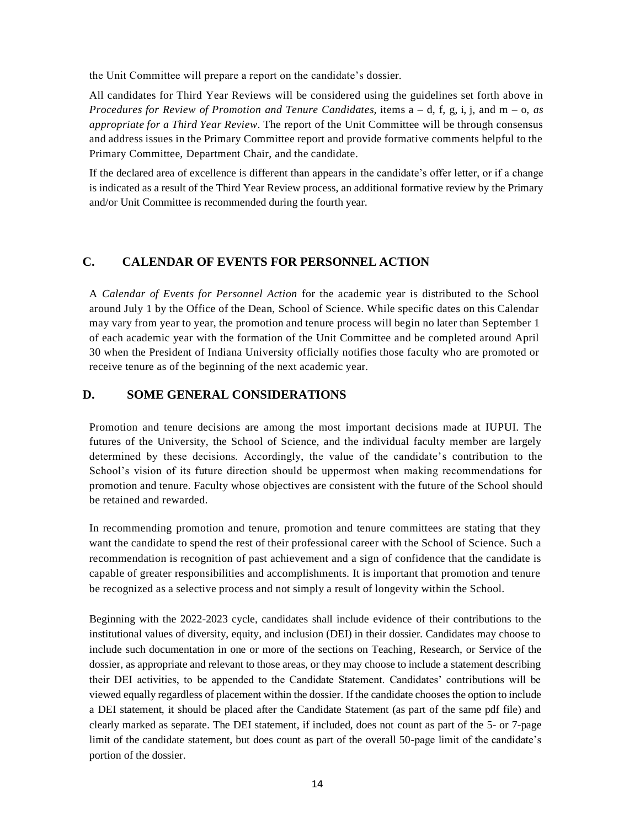the Unit Committee will prepare a report on the candidate's dossier.

All candidates for Third Year Reviews will be considered using the guidelines set forth above in *Procedures for Review of Promotion and Tenure Candidates,* items a – d, f, g, i, j, and m – o, *as appropriate for a Third Year Review*. The report of the Unit Committee will be through consensus and address issues in the Primary Committee report and provide formative comments helpful to the Primary Committee, Department Chair, and the candidate.

If the declared area of excellence is different than appears in the candidate's offer letter, or if a change is indicated as a result of the Third Year Review process, an additional formative review by the Primary and/or Unit Committee is recommended during the fourth year.

### **C. CALENDAR OF EVENTS FOR PERSONNEL ACTION**

A *Calendar of Events for Personnel Action* for the academic year is distributed to the School around July 1 by the Office of the Dean, School of Science. While specific dates on this Calendar may vary from year to year, the promotion and tenure process will begin no later than September 1 of each academic year with the formation of the Unit Committee and be completed around April 30 when the President of Indiana University officially notifies those faculty who are promoted or receive tenure as of the beginning of the next academic year.

### **D. SOME GENERAL CONSIDERATIONS**

Promotion and tenure decisions are among the most important decisions made at IUPUI. The futures of the University, the School of Science, and the individual faculty member are largely determined by these decisions. Accordingly, the value of the candidate's contribution to the School's vision of its future direction should be uppermost when making recommendations for promotion and tenure. Faculty whose objectives are consistent with the future of the School should be retained and rewarded.

In recommending promotion and tenure, promotion and tenure committees are stating that they want the candidate to spend the rest of their professional career with the School of Science. Such a recommendation is recognition of past achievement and a sign of confidence that the candidate is capable of greater responsibilities and accomplishments. It is important that promotion and tenure be recognized as a selective process and not simply a result of longevity within the School.

Beginning with the 2022-2023 cycle, candidates shall include evidence of their contributions to the institutional values of diversity, equity, and inclusion (DEI) in their dossier. Candidates may choose to include such documentation in one or more of the sections on Teaching, Research, or Service of the dossier, as appropriate and relevant to those areas, or they may choose to include a statement describing their DEI activities, to be appended to the Candidate Statement. Candidates' contributions will be viewed equally regardless of placement within the dossier. If the candidate chooses the option to include a DEI statement, it should be placed after the Candidate Statement (as part of the same pdf file) and clearly marked as separate. The DEI statement, if included, does not count as part of the 5- or 7-page limit of the candidate statement, but does count as part of the overall 50-page limit of the candidate's portion of the dossier.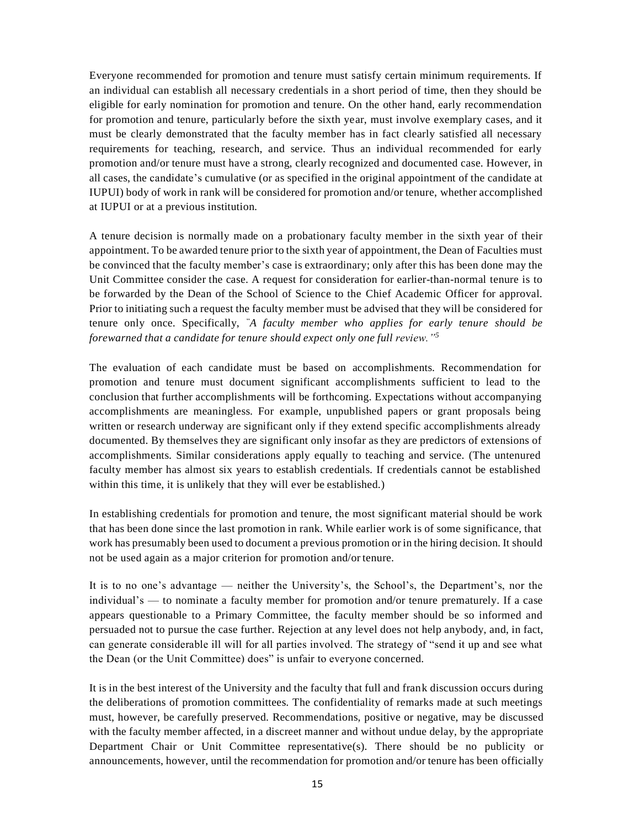Everyone recommended for promotion and tenure must satisfy certain minimum requirements. If an individual can establish all necessary credentials in a short period of time, then they should be eligible for early nomination for promotion and tenure. On the other hand, early recommendation for promotion and tenure, particularly before the sixth year, must involve exemplary cases, and it must be clearly demonstrated that the faculty member has in fact clearly satisfied all necessary requirements for teaching, research, and service. Thus an individual recommended for early promotion and/or tenure must have a strong, clearly recognized and documented case. However, in all cases, the candidate's cumulative (or as specified in the original appointment of the candidate at IUPUI) body of work in rank will be considered for promotion and/or tenure, whether accomplished at IUPUI or at a previous institution.

A tenure decision is normally made on a probationary faculty member in the sixth year of their appointment. To be awarded tenure prior to the sixth year of appointment, the Dean of Faculties must be convinced that the faculty member's case is extraordinary; only after this has been done may the Unit Committee consider the case. A request for consideration for earlier-than-normal tenure is to be forwarded by the Dean of the School of Science to the Chief Academic Officer for approval. Prior to initiating such a request the faculty member must be advised that they will be considered for tenure only once. Specifically, "*A faculty member who applies for early tenure should be forewarned that a candidate for tenure should expect only one full review."<sup>5</sup>*

The evaluation of each candidate must be based on accomplishments. Recommendation for promotion and tenure must document significant accomplishments sufficient to lead to the conclusion that further accomplishments will be forthcoming. Expectations without accompanying accomplishments are meaningless. For example, unpublished papers or grant proposals being written or research underway are significant only if they extend specific accomplishments already documented. By themselves they are significant only insofar as they are predictors of extensions of accomplishments. Similar considerations apply equally to teaching and service. (The untenured faculty member has almost six years to establish credentials. If credentials cannot be established within this time, it is unlikely that they will ever be established.)

In establishing credentials for promotion and tenure, the most significant material should be work that has been done since the last promotion in rank. While earlier work is of some significance, that work has presumably been used to document a previous promotion or in the hiring decision. It should not be used again as a major criterion for promotion and/or tenure.

It is to no one's advantage — neither the University's, the School's, the Department's, nor the individual's — to nominate a faculty member for promotion and/or tenure prematurely. If a case appears questionable to a Primary Committee, the faculty member should be so informed and persuaded not to pursue the case further. Rejection at any level does not help anybody, and, in fact, can generate considerable ill will for all parties involved. The strategy of "send it up and see what the Dean (or the Unit Committee) does" is unfair to everyone concerned.

It is in the best interest of the University and the faculty that full and frank discussion occurs during the deliberations of promotion committees. The confidentiality of remarks made at such meetings must, however, be carefully preserved. Recommendations, positive or negative, may be discussed with the faculty member affected, in a discreet manner and without undue delay, by the appropriate Department Chair or Unit Committee representative(s). There should be no publicity or announcements, however, until the recommendation for promotion and/or tenure has been officially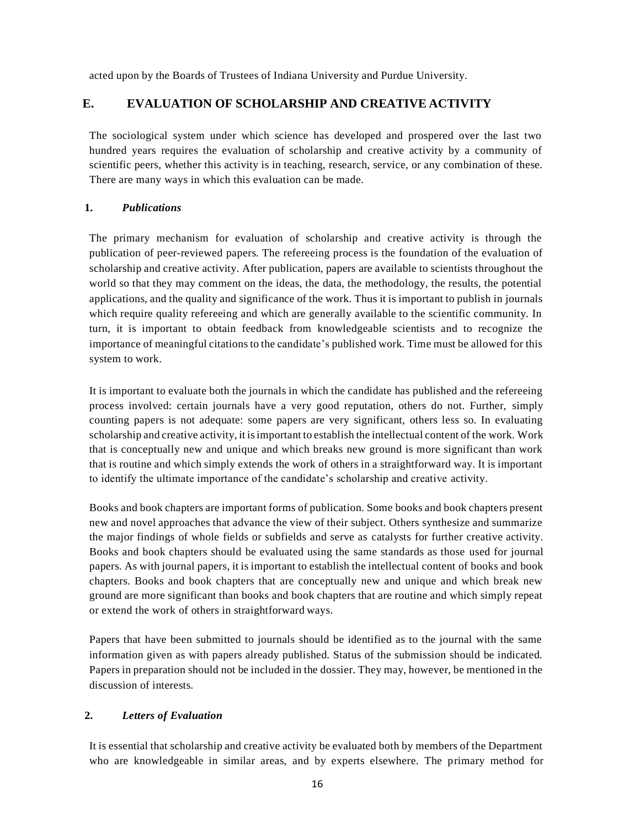acted upon by the Boards of Trustees of Indiana University and Purdue University.

# **E. EVALUATION OF SCHOLARSHIP AND CREATIVE ACTIVITY**

The sociological system under which science has developed and prospered over the last two hundred years requires the evaluation of scholarship and creative activity by a community of scientific peers, whether this activity is in teaching, research, service, or any combination of these. There are many ways in which this evaluation can be made.

### **1.** *Publications*

The primary mechanism for evaluation of scholarship and creative activity is through the publication of peer-reviewed papers. The refereeing process is the foundation of the evaluation of scholarship and creative activity. After publication, papers are available to scientists throughout the world so that they may comment on the ideas, the data, the methodology, the results, the potential applications, and the quality and significance of the work. Thus it is important to publish in journals which require quality refereeing and which are generally available to the scientific community. In turn, it is important to obtain feedback from knowledgeable scientists and to recognize the importance of meaningful citationsto the candidate's published work. Time must be allowed for this system to work.

It is important to evaluate both the journals in which the candidate has published and the refereeing process involved: certain journals have a very good reputation, others do not. Further, simply counting papers is not adequate: some papers are very significant, others less so. In evaluating scholarship and creative activity, it isimportant to establish the intellectual content of the work. Work that is conceptually new and unique and which breaks new ground is more significant than work that is routine and which simply extends the work of others in a straightforward way. It is important to identify the ultimate importance of the candidate's scholarship and creative activity.

Books and book chapters are important forms of publication. Some books and book chapters present new and novel approaches that advance the view of their subject. Others synthesize and summarize the major findings of whole fields or subfields and serve as catalysts for further creative activity. Books and book chapters should be evaluated using the same standards as those used for journal papers. As with journal papers, it is important to establish the intellectual content of books and book chapters. Books and book chapters that are conceptually new and unique and which break new ground are more significant than books and book chapters that are routine and which simply repeat or extend the work of others in straightforward ways.

Papers that have been submitted to journals should be identified as to the journal with the same information given as with papers already published. Status of the submission should be indicated. Papers in preparation should not be included in the dossier. They may, however, be mentioned in the discussion of interests.

### **2.** *Letters of Evaluation*

It is essential that scholarship and creative activity be evaluated both by members of the Department who are knowledgeable in similar areas, and by experts elsewhere. The primary method for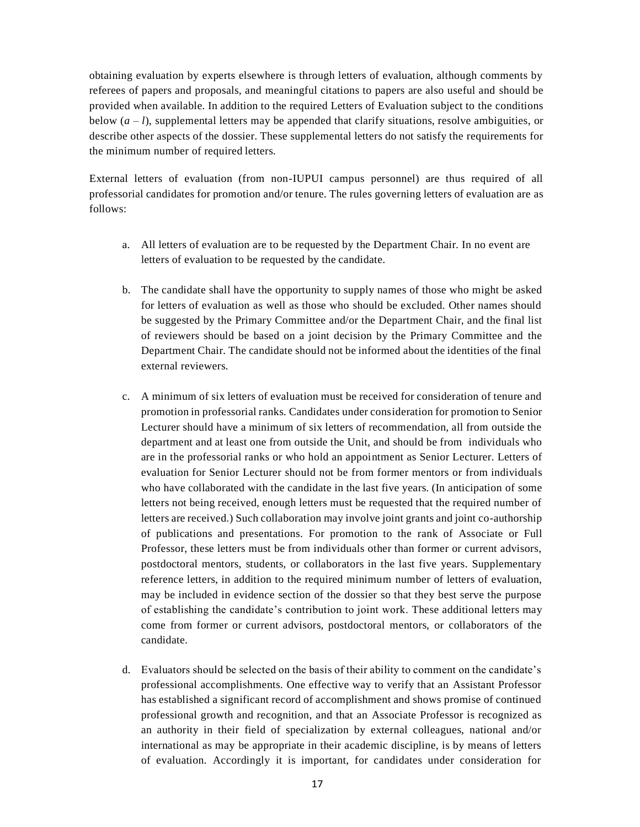obtaining evaluation by experts elsewhere is through letters of evaluation, although comments by referees of papers and proposals, and meaningful citations to papers are also useful and should be provided when available. In addition to the required Letters of Evaluation subject to the conditions below  $(a - l)$ , supplemental letters may be appended that clarify situations, resolve ambiguities, or describe other aspects of the dossier. These supplemental letters do not satisfy the requirements for the minimum number of required letters.

External letters of evaluation (from non-IUPUI campus personnel) are thus required of all professorial candidates for promotion and/or tenure. The rules governing letters of evaluation are as follows:

- a. All letters of evaluation are to be requested by the Department Chair. In no event are letters of evaluation to be requested by the candidate.
- b. The candidate shall have the opportunity to supply names of those who might be asked for letters of evaluation as well as those who should be excluded. Other names should be suggested by the Primary Committee and/or the Department Chair, and the final list of reviewers should be based on a joint decision by the Primary Committee and the Department Chair. The candidate should not be informed about the identities of the final external reviewers.
- c. A minimum of six letters of evaluation must be received for consideration of tenure and promotion in professorial ranks. Candidates under consideration for promotion to Senior Lecturer should have a minimum of six letters of recommendation, all from outside the department and at least one from outside the Unit, and should be from individuals who are in the professorial ranks or who hold an appointment as Senior Lecturer. Letters of evaluation for Senior Lecturer should not be from former mentors or from individuals who have collaborated with the candidate in the last five years. (In anticipation of some letters not being received, enough letters must be requested that the required number of letters are received.) Such collaboration may involve joint grants and joint co-authorship of publications and presentations. For promotion to the rank of Associate or Full Professor, these letters must be from individuals other than former or current advisors, postdoctoral mentors, students, or collaborators in the last five years. Supplementary reference letters, in addition to the required minimum number of letters of evaluation, may be included in evidence section of the dossier so that they best serve the purpose of establishing the candidate's contribution to joint work. These additional letters may come from former or current advisors, postdoctoral mentors, or collaborators of the candidate.
- d. Evaluators should be selected on the basis of their ability to comment on the candidate's professional accomplishments. One effective way to verify that an Assistant Professor has established a significant record of accomplishment and shows promise of continued professional growth and recognition, and that an Associate Professor is recognized as an authority in their field of specialization by external colleagues, national and/or international as may be appropriate in their academic discipline, is by means of letters of evaluation. Accordingly it is important, for candidates under consideration for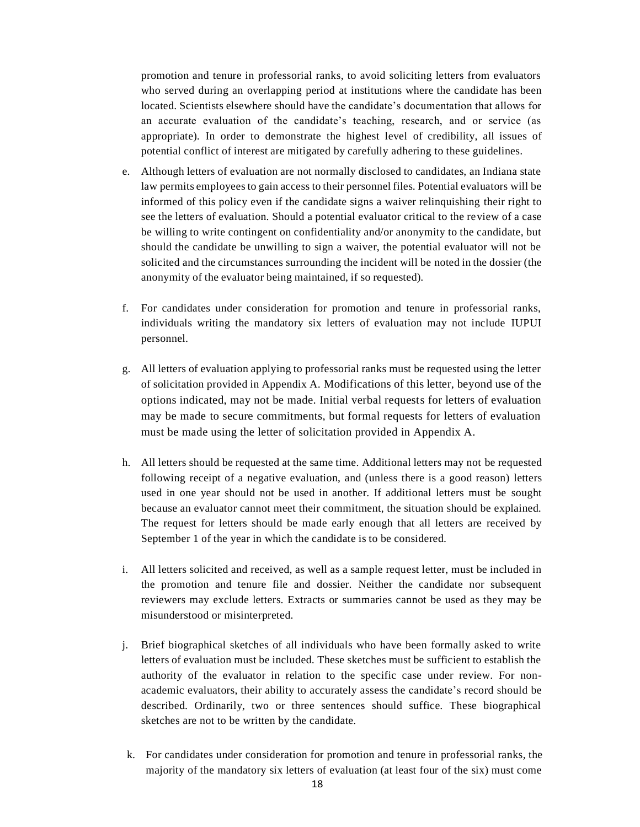promotion and tenure in professorial ranks, to avoid soliciting letters from evaluators who served during an overlapping period at institutions where the candidate has been located. Scientists elsewhere should have the candidate's documentation that allows for an accurate evaluation of the candidate's teaching, research, and or service (as appropriate). In order to demonstrate the highest level of credibility, all issues of potential conflict of interest are mitigated by carefully adhering to these guidelines.

- e. Although letters of evaluation are not normally disclosed to candidates, an Indiana state law permits employeesto gain access to their personnel files. Potential evaluators will be informed of this policy even if the candidate signs a waiver relinquishing their right to see the letters of evaluation. Should a potential evaluator critical to the review of a case be willing to write contingent on confidentiality and/or anonymity to the candidate, but should the candidate be unwilling to sign a waiver, the potential evaluator will not be solicited and the circumstances surrounding the incident will be noted in the dossier (the anonymity of the evaluator being maintained, if so requested).
- f. For candidates under consideration for promotion and tenure in professorial ranks, individuals writing the mandatory six letters of evaluation may not include IUPUI personnel.
- g. All letters of evaluation applying to professorial ranks must be requested using the letter of solicitation provided in Appendix A. Modifications of this letter, beyond use of the options indicated, may not be made. Initial verbal requests for letters of evaluation may be made to secure commitments, but formal requests for letters of evaluation must be made using the letter of solicitation provided in Appendix A.
- h. All letters should be requested at the same time. Additional letters may not be requested following receipt of a negative evaluation, and (unless there is a good reason) letters used in one year should not be used in another. If additional letters must be sought because an evaluator cannot meet their commitment, the situation should be explained. The request for letters should be made early enough that all letters are received by September 1 of the year in which the candidate is to be considered.
- i. All letters solicited and received, as well as a sample request letter, must be included in the promotion and tenure file and dossier. Neither the candidate nor subsequent reviewers may exclude letters. Extracts or summaries cannot be used as they may be misunderstood or misinterpreted.
- j. Brief biographical sketches of all individuals who have been formally asked to write letters of evaluation must be included. These sketches must be sufficient to establish the authority of the evaluator in relation to the specific case under review. For nonacademic evaluators, their ability to accurately assess the candidate's record should be described. Ordinarily, two or three sentences should suffice. These biographical sketches are not to be written by the candidate.
- k. For candidates under consideration for promotion and tenure in professorial ranks, the majority of the mandatory six letters of evaluation (at least four of the six) must come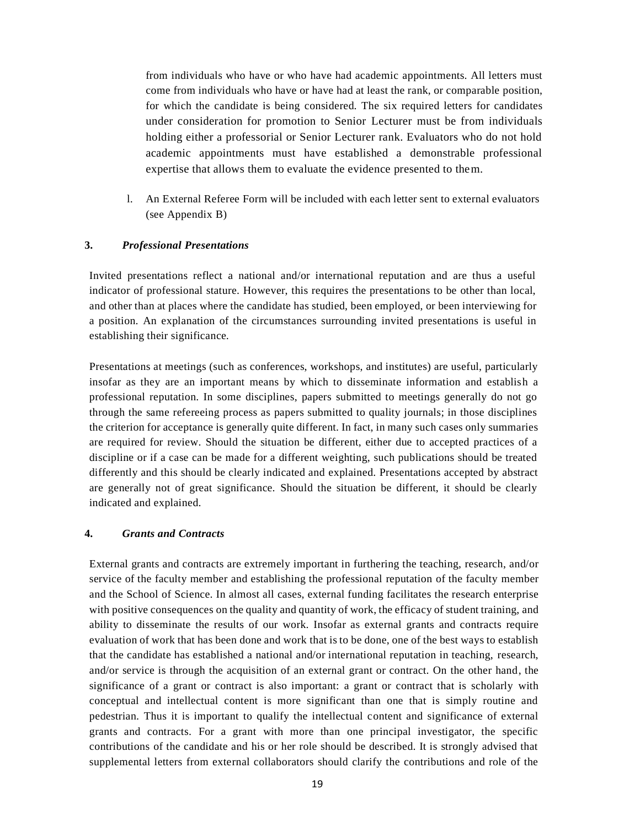from individuals who have or who have had academic appointments. All letters must come from individuals who have or have had at least the rank, or comparable position, for which the candidate is being considered. The six required letters for candidates under consideration for promotion to Senior Lecturer must be from individuals holding either a professorial or Senior Lecturer rank. Evaluators who do not hold academic appointments must have established a demonstrable professional expertise that allows them to evaluate the evidence presented to them.

l. An External Referee Form will be included with each letter sent to external evaluators (see Appendix B)

#### **3.** *Professional Presentations*

Invited presentations reflect a national and/or international reputation and are thus a useful indicator of professional stature. However, this requires the presentations to be other than local, and other than at places where the candidate has studied, been employed, or been interviewing for a position. An explanation of the circumstances surrounding invited presentations is useful in establishing their significance.

Presentations at meetings (such as conferences, workshops, and institutes) are useful, particularly insofar as they are an important means by which to disseminate information and establish a professional reputation. In some disciplines, papers submitted to meetings generally do not go through the same refereeing process as papers submitted to quality journals; in those disciplines the criterion for acceptance is generally quite different. In fact, in many such cases only summaries are required for review. Should the situation be different, either due to accepted practices of a discipline or if a case can be made for a different weighting, such publications should be treated differently and this should be clearly indicated and explained. Presentations accepted by abstract are generally not of great significance. Should the situation be different, it should be clearly indicated and explained.

#### **4.** *Grants and Contracts*

External grants and contracts are extremely important in furthering the teaching, research, and/or service of the faculty member and establishing the professional reputation of the faculty member and the School of Science. In almost all cases, external funding facilitates the research enterprise with positive consequences on the quality and quantity of work, the efficacy of student training, and ability to disseminate the results of our work. Insofar as external grants and contracts require evaluation of work that has been done and work that is to be done, one of the best ways to establish that the candidate has established a national and/or international reputation in teaching, research, and/or service is through the acquisition of an external grant or contract. On the other hand, the significance of a grant or contract is also important: a grant or contract that is scholarly with conceptual and intellectual content is more significant than one that is simply routine and pedestrian. Thus it is important to qualify the intellectual content and significance of external grants and contracts. For a grant with more than one principal investigator, the specific contributions of the candidate and his or her role should be described. It is strongly advised that supplemental letters from external collaborators should clarify the contributions and role of the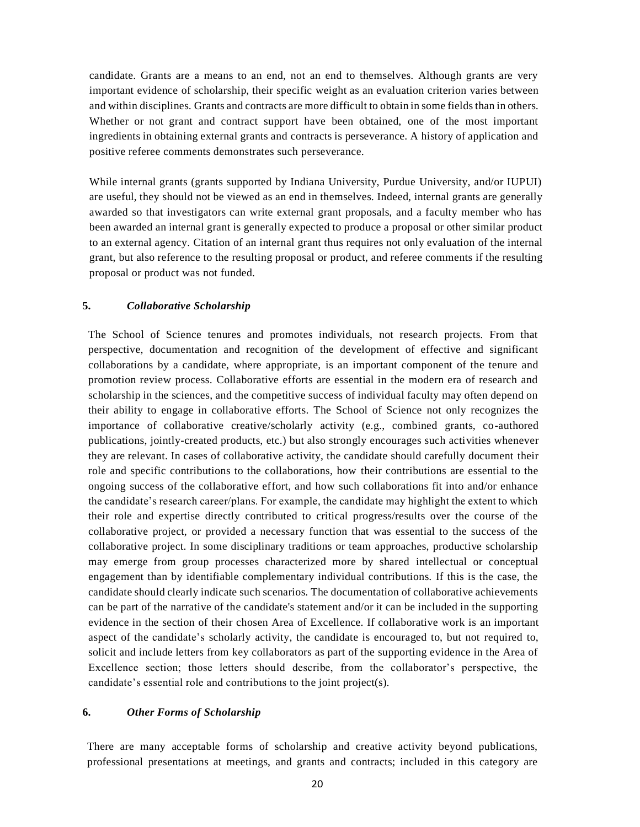candidate. Grants are a means to an end, not an end to themselves. Although grants are very important evidence of scholarship, their specific weight as an evaluation criterion varies between and within disciplines. Grants and contracts are more difficult to obtain in some fields than in others. Whether or not grant and contract support have been obtained, one of the most important ingredients in obtaining external grants and contracts is perseverance. A history of application and positive referee comments demonstrates such perseverance.

While internal grants (grants supported by Indiana University, Purdue University, and/or IUPUI) are useful, they should not be viewed as an end in themselves. Indeed, internal grants are generally awarded so that investigators can write external grant proposals, and a faculty member who has been awarded an internal grant is generally expected to produce a proposal or other similar product to an external agency. Citation of an internal grant thus requires not only evaluation of the internal grant, but also reference to the resulting proposal or product, and referee comments if the resulting proposal or product was not funded.

#### **5.** *Collaborative Scholarship*

The School of Science tenures and promotes individuals, not research projects. From that perspective, documentation and recognition of the development of effective and significant collaborations by a candidate, where appropriate, is an important component of the tenure and promotion review process. Collaborative efforts are essential in the modern era of research and scholarship in the sciences, and the competitive success of individual faculty may often depend on their ability to engage in collaborative efforts. The School of Science not only recognizes the importance of collaborative creative/scholarly activity (e.g., combined grants, co-authored publications, jointly-created products, etc.) but also strongly encourages such activities whenever they are relevant. In cases of collaborative activity, the candidate should carefully document their role and specific contributions to the collaborations, how their contributions are essential to the ongoing success of the collaborative effort, and how such collaborations fit into and/or enhance the candidate's research career/plans. For example, the candidate may highlight the extent to which their role and expertise directly contributed to critical progress/results over the course of the collaborative project, or provided a necessary function that was essential to the success of the collaborative project. In some disciplinary traditions or team approaches, productive scholarship may emerge from group processes characterized more by shared intellectual or conceptual engagement than by identifiable complementary individual contributions. If this is the case, the candidate should clearly indicate such scenarios. The documentation of collaborative achievements can be part of the narrative of the candidate's statement and/or it can be included in the supporting evidence in the section of their chosen Area of Excellence. If collaborative work is an important aspect of the candidate's scholarly activity, the candidate is encouraged to, but not required to, solicit and include letters from key collaborators as part of the supporting evidence in the Area of Excellence section; those letters should describe, from the collaborator's perspective, the candidate's essential role and contributions to the joint project(s).

### **6.** *Other Forms of Scholarship*

There are many acceptable forms of scholarship and creative activity beyond publications, professional presentations at meetings, and grants and contracts; included in this category are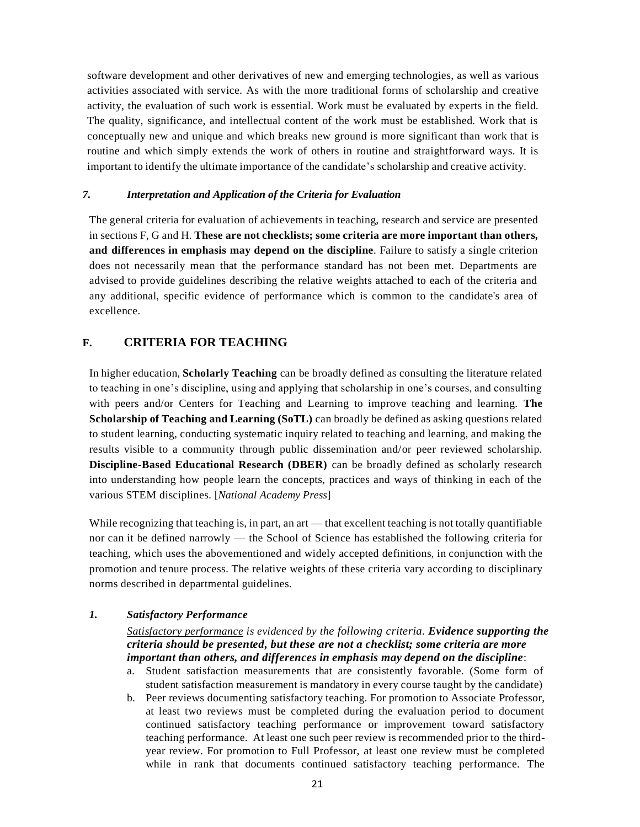software development and other derivatives of new and emerging technologies, as well as various activities associated with service. As with the more traditional forms of scholarship and creative activity, the evaluation of such work is essential. Work must be evaluated by experts in the field. The quality, significance, and intellectual content of the work must be established. Work that is conceptually new and unique and which breaks new ground is more significant than work that is routine and which simply extends the work of others in routine and straightforward ways. It is important to identify the ultimate importance of the candidate's scholarship and creative activity.

#### *7. Interpretation and Application of the Criteria for Evaluation*

The general criteria for evaluation of achievements in teaching, research and service are presented in sections F, G and H. **These are not checklists; some criteria are more important than others, and differences in emphasis may depend on the discipline**. Failure to satisfy a single criterion does not necessarily mean that the performance standard has not been met. Departments are advised to provide guidelines describing the relative weights attached to each of the criteria and any additional, specific evidence of performance which is common to the candidate's area of excellence.

### **F. CRITERIA FOR TEACHING**

In higher education, **Scholarly Teaching** can be broadly defined as consulting the literature related to teaching in one's discipline, using and applying that scholarship in one's courses, and consulting with peers and/or Centers for Teaching and Learning to improve teaching and learning. **The Scholarship of Teaching and Learning (SoTL)** can broadly be defined as asking questions related to student learning, conducting systematic inquiry related to teaching and learning, and making the results visible to a community through public dissemination and/or peer reviewed scholarship. **Discipline-Based Educational Research (DBER)** can be broadly defined as scholarly research into understanding how people learn the concepts, practices and ways of thinking in each of the various STEM disciplines. [*National Academy Press*]

While recognizing that teaching is, in part, an art — that excellent teaching is not totally quantifiable nor can it be defined narrowly — the School of Science has established the following criteria for teaching, which uses the abovementioned and widely accepted definitions, in conjunction with the promotion and tenure process. The relative weights of these criteria vary according to disciplinary norms described in departmental guidelines.

#### *1. Satisfactory Performance*

### *Satisfactory performance is evidenced by the following criteria. Evidence supporting the criteria should be presented, but these are not a checklist; some criteria are more important than others, and differences in emphasis may depend on the discipline*:

- a. Student satisfaction measurements that are consistently favorable. (Some form of student satisfaction measurement is mandatory in every course taught by the candidate)
- b. Peer reviews documenting satisfactory teaching. For promotion to Associate Professor, at least two reviews must be completed during the evaluation period to document continued satisfactory teaching performance or improvement toward satisfactory teaching performance. At least one such peer review is recommended prior to the thirdyear review. For promotion to Full Professor, at least one review must be completed while in rank that documents continued satisfactory teaching performance. The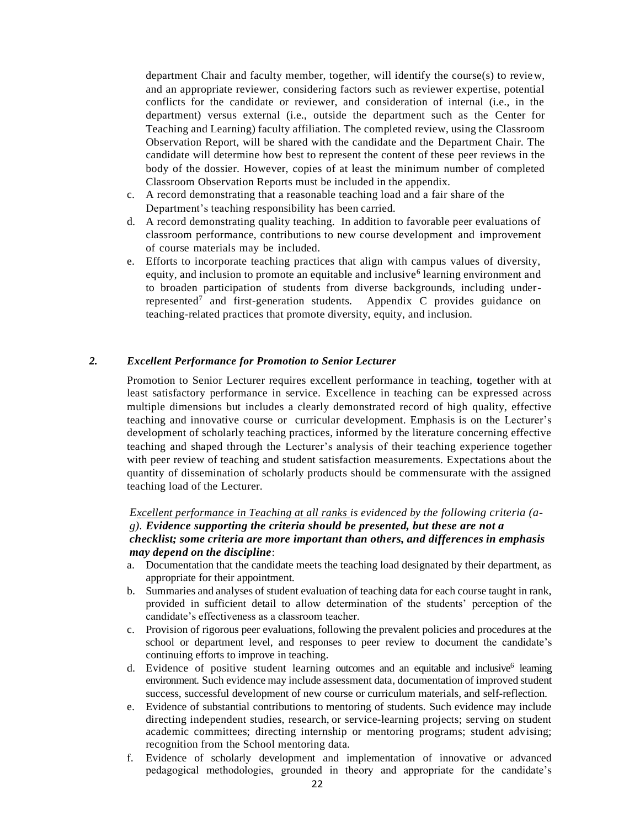department Chair and faculty member, together, will identify the course(s) to review, and an appropriate reviewer, considering factors such as reviewer expertise, potential conflicts for the candidate or reviewer, and consideration of internal (i.e., in the department) versus external (i.e., outside the department such as the Center for Teaching and Learning) faculty affiliation. The completed review, using the Classroom Observation Report, will be shared with the candidate and the Department Chair. The candidate will determine how best to represent the content of these peer reviews in the body of the dossier. However, copies of at least the minimum number of completed Classroom Observation Reports must be included in the appendix.

- c. A record demonstrating that a reasonable teaching load and a fair share of the Department's teaching responsibility has been carried.
- d. A record demonstrating quality teaching. In addition to favorable peer evaluations of classroom performance, contributions to new course development and improvement of course materials may be included.
- e. Efforts to incorporate teaching practices that align with campus values of diversity, equity, and inclusion to promote an equitable and inclusive<sup>6</sup> learning environment and to broaden participation of students from diverse backgrounds, including underrepresented<sup>7</sup> and first-generation students. Appendix C provides guidance on teaching-related practices that promote diversity, equity, and inclusion.

#### *2. Excellent Performance for Promotion to Senior Lecturer*

Promotion to Senior Lecturer requires excellent performance in teaching, **t**ogether with at least satisfactory performance in service. Excellence in teaching can be expressed across multiple dimensions but includes a clearly demonstrated record of high quality, effective teaching and innovative course or curricular development. Emphasis is on the Lecturer's development of scholarly teaching practices, informed by the literature concerning effective teaching and shaped through the Lecturer's analysis of their teaching experience together with peer review of teaching and student satisfaction measurements. Expectations about the quantity of dissemination of scholarly products should be commensurate with the assigned teaching load of the Lecturer.

### *Excellent performance in Teaching at all ranks is evidenced by the following criteria (ag). Evidence supporting the criteria should be presented, but these are not a checklist; some criteria are more important than others, and differences in emphasis may depend on the discipline*:

- a. Documentation that the candidate meets the teaching load designated by their department, as appropriate for their appointment.
- b. Summaries and analyses of student evaluation of teaching data for each course taught in rank, provided in sufficient detail to allow determination of the students' perception of the candidate's effectiveness as a classroom teacher.
- c. Provision of rigorous peer evaluations, following the prevalent policies and procedures at the school or department level, and responses to peer review to document the candidate's continuing efforts to improve in teaching.
- d. Evidence of positive student learning outcomes and an equitable and inclusive<sup>6</sup> learning environment. Such evidence may include assessment data, documentation of improved student success, successful development of new course or curriculum materials, and self-reflection.
- e. Evidence of substantial contributions to mentoring of students. Such evidence may include directing independent studies, research, or service-learning projects; serving on student academic committees; directing internship or mentoring programs; student advising; recognition from the School mentoring data.
- f. Evidence of scholarly development and implementation of innovative or advanced pedagogical methodologies, grounded in theory and appropriate for the candidate's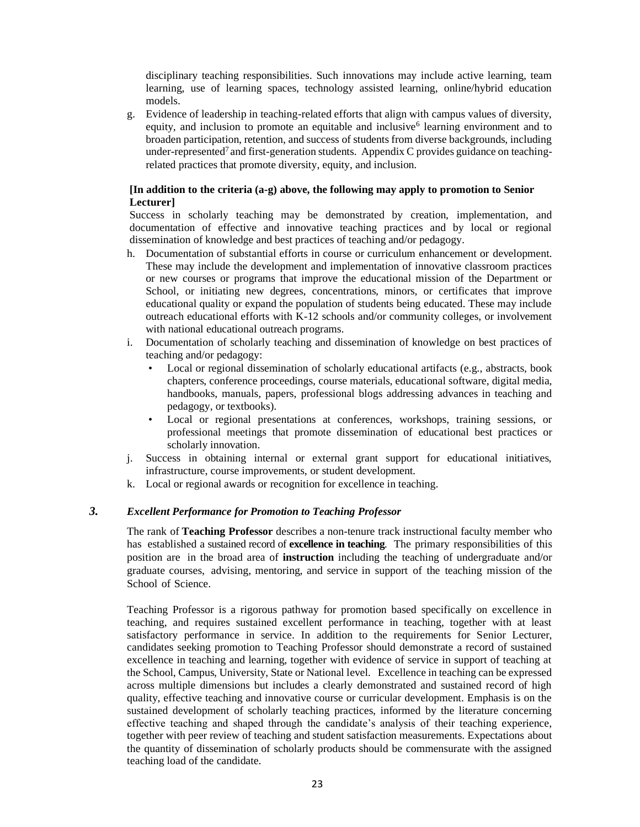disciplinary teaching responsibilities. Such innovations may include active learning, team learning, use of learning spaces, technology assisted learning, online/hybrid education models.

g. Evidence of leadership in teaching-related efforts that align with campus values of diversity, equity, and inclusion to promote an equitable and inclusive<sup>6</sup> learning environment and to broaden participation, retention, and success of students from diverse backgrounds, including under-represented<sup>7</sup> and first-generation students. Appendix C provides guidance on teachingrelated practices that promote diversity, equity, and inclusion.

#### **[In addition to the criteria (a-g) above, the following may apply to promotion to Senior Lecturer]**

Success in scholarly teaching may be demonstrated by creation, implementation, and documentation of effective and innovative teaching practices and by local or regional dissemination of knowledge and best practices of teaching and/or pedagogy.

- h. Documentation of substantial efforts in course or curriculum enhancement or development. These may include the development and implementation of innovative classroom practices or new courses or programs that improve the educational mission of the Department or School, or initiating new degrees, concentrations, minors, or certificates that improve educational quality or expand the population of students being educated. These may include outreach educational efforts with K-12 schools and/or community colleges, or involvement with national educational outreach programs.
- i. Documentation of scholarly teaching and dissemination of knowledge on best practices of teaching and/or pedagogy:
	- Local or regional dissemination of scholarly educational artifacts (e.g., abstracts, book chapters, conference proceedings, course materials, educational software, digital media, handbooks, manuals, papers, professional blogs addressing advances in teaching and pedagogy, or textbooks).
	- Local or regional presentations at conferences, workshops, training sessions, or professional meetings that promote dissemination of educational best practices or scholarly innovation.
- j. Success in obtaining internal or external grant support for educational initiatives, infrastructure, course improvements, or student development.
- k. Local or regional awards or recognition for excellence in teaching.

#### *3. Excellent Performance for Promotion to Teaching Professor*

The rank of **Teaching Professor** describes a non-tenure track instructional faculty member who has established a sustained record of **excellence in teaching**. The primary responsibilities of this position are in the broad area of **instruction** including the teaching of undergraduate and/or graduate courses, advising, mentoring, and service in support of the teaching mission of the School of Science.

Teaching Professor is a rigorous pathway for promotion based specifically on excellence in teaching, and requires sustained excellent performance in teaching, together with at least satisfactory performance in service. In addition to the requirements for Senior Lecturer, candidates seeking promotion to Teaching Professor should demonstrate a record of sustained excellence in teaching and learning, together with evidence of service in support of teaching at the School, Campus, University, State or National level. Excellence in teaching can be expressed across multiple dimensions but includes a clearly demonstrated and sustained record of high quality, effective teaching and innovative course or curricular development. Emphasis is on the sustained development of scholarly teaching practices, informed by the literature concerning effective teaching and shaped through the candidate's analysis of their teaching experience, together with peer review of teaching and student satisfaction measurements. Expectations about the quantity of dissemination of scholarly products should be commensurate with the assigned teaching load of the candidate.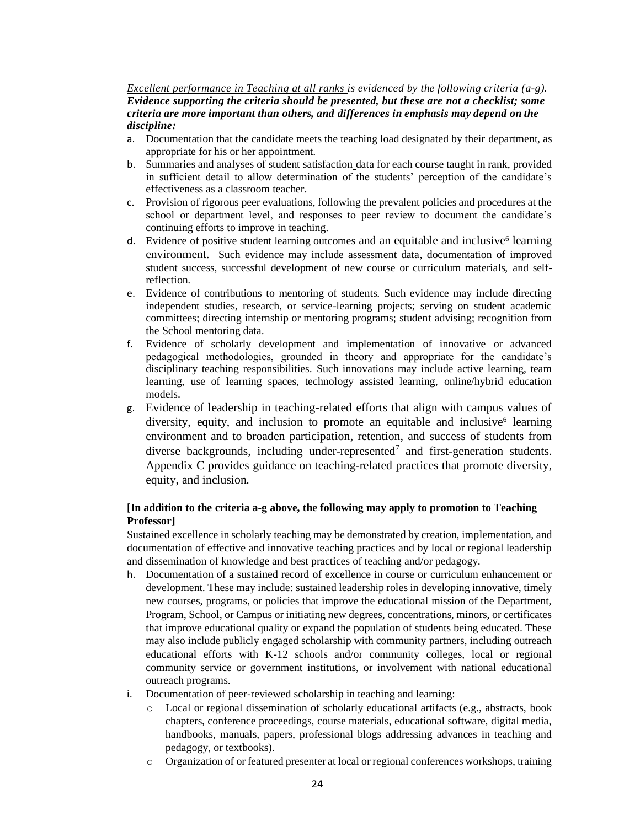*Excellent performance in Teaching at all ranks is evidenced by the following criteria (a-g). Evidence supporting the criteria should be presented, but these are not a checklist; some criteria are more important than others, and differences in emphasis may depend on the discipline:*

- a. Documentation that the candidate meets the teaching load designated by their department, as appropriate for his or her appointment.
- b. Summaries and analyses of student satisfaction data for each course taught in rank, provided in sufficient detail to allow determination of the students' perception of the candidate's effectiveness as a classroom teacher.
- c. Provision of rigorous peer evaluations, following the prevalent policies and procedures at the school or department level, and responses to peer review to document the candidate's continuing efforts to improve in teaching.
- d. Evidence of positive student learning outcomes and an equitable and inclusive<sup>6</sup> learning environment. Such evidence may include assessment data, documentation of improved student success, successful development of new course or curriculum materials, and selfreflection.
- e. Evidence of contributions to mentoring of students. Such evidence may include directing independent studies, research, or service-learning projects; serving on student academic committees; directing internship or mentoring programs; student advising; recognition from the School mentoring data.
- f. Evidence of scholarly development and implementation of innovative or advanced pedagogical methodologies, grounded in theory and appropriate for the candidate's disciplinary teaching responsibilities. Such innovations may include active learning, team learning, use of learning spaces, technology assisted learning, online/hybrid education models.
- g. Evidence of leadership in teaching-related efforts that align with campus values of diversity, equity, and inclusion to promote an equitable and inclusive<sup>6</sup> learning environment and to broaden participation, retention, and success of students from diverse backgrounds, including under-represented<sup>7</sup> and first-generation students. Appendix C provides guidance on teaching-related practices that promote diversity, equity, and inclusion.

### **[In addition to the criteria a-g above, the following may apply to promotion to Teaching Professor]**

Sustained excellence in scholarly teaching may be demonstrated by creation, implementation, and documentation of effective and innovative teaching practices and by local or regional leadership and dissemination of knowledge and best practices of teaching and/or pedagogy.

- h. Documentation of a sustained record of excellence in course or curriculum enhancement or development. These may include: sustained leadership roles in developing innovative, timely new courses, programs, or policies that improve the educational mission of the Department, Program, School, or Campus or initiating new degrees, concentrations, minors, or certificates that improve educational quality or expand the population of students being educated. These may also include publicly engaged scholarship with community partners, including outreach educational efforts with K-12 schools and/or community colleges, local or regional community service or government institutions, or involvement with national educational outreach programs.
- i. Documentation of peer-reviewed scholarship in teaching and learning:
	- o Local or regional dissemination of scholarly educational artifacts (e.g., abstracts, book chapters, conference proceedings, course materials, educational software, digital media, handbooks, manuals, papers, professional blogs addressing advances in teaching and pedagogy, or textbooks).
	- o Organization of or featured presenter at local or regional conferences workshops, training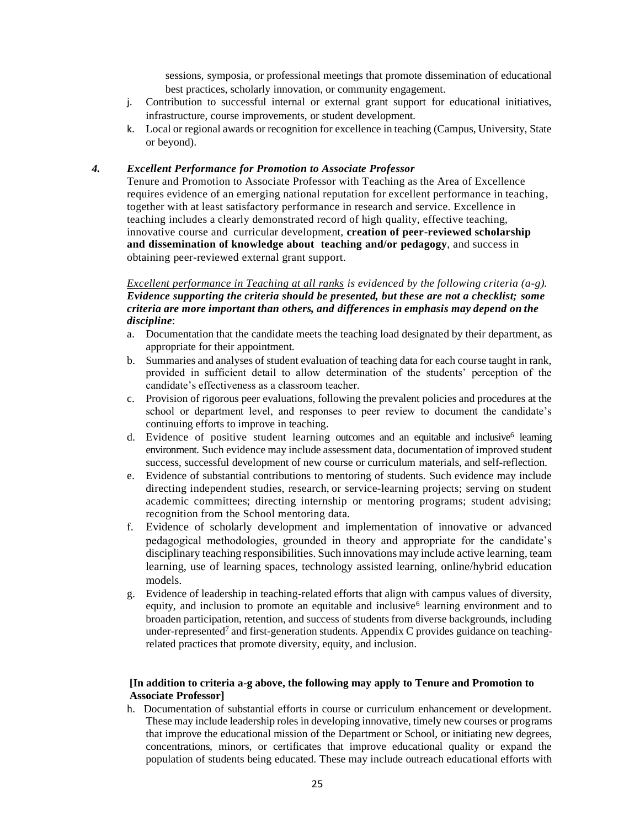sessions, symposia, or professional meetings that promote dissemination of educational best practices, scholarly innovation, or community engagement.

- j. Contribution to successful internal or external grant support for educational initiatives, infrastructure, course improvements, or student development.
- k. Local or regional awards or recognition for excellence in teaching (Campus, University, State or beyond).

#### *4. Excellent Performance for Promotion to Associate Professor*

Tenure and Promotion to Associate Professor with Teaching as the Area of Excellence requires evidence of an emerging national reputation for excellent performance in teaching, together with at least satisfactory performance in research and service. Excellence in teaching includes a clearly demonstrated record of high quality, effective teaching, innovative course and curricular development, **creation of peer-reviewed scholarship and dissemination of knowledge about teaching and/or pedagogy**, and success in obtaining peer-reviewed external grant support.

*Excellent performance in Teaching at all ranks is evidenced by the following criteria (a-g). Evidence supporting the criteria should be presented, but these are not a checklist; some criteria are more important than others, and differences in emphasis may depend on the discipline*:

- a. Documentation that the candidate meets the teaching load designated by their department, as appropriate for their appointment.
- b. Summaries and analyses of student evaluation of teaching data for each course taught in rank, provided in sufficient detail to allow determination of the students' perception of the candidate's effectiveness as a classroom teacher.
- c. Provision of rigorous peer evaluations, following the prevalent policies and procedures at the school or department level, and responses to peer review to document the candidate's continuing efforts to improve in teaching.
- d. Evidence of positive student learning outcomes and an equitable and inclusive<sup>6</sup> learning environment. Such evidence may include assessment data, documentation of improved student success, successful development of new course or curriculum materials, and self-reflection.
- e. Evidence of substantial contributions to mentoring of students. Such evidence may include directing independent studies, research, or service-learning projects; serving on student academic committees; directing internship or mentoring programs; student advising; recognition from the School mentoring data.
- f. Evidence of scholarly development and implementation of innovative or advanced pedagogical methodologies, grounded in theory and appropriate for the candidate's disciplinary teaching responsibilities. Such innovations may include active learning, team learning, use of learning spaces, technology assisted learning, online/hybrid education models.
- g. Evidence of leadership in teaching-related efforts that align with campus values of diversity, equity, and inclusion to promote an equitable and inclusive<sup>6</sup> learning environment and to broaden participation, retention, and success of students from diverse backgrounds, including under-represented<sup>7</sup> and first-generation students. Appendix C provides guidance on teachingrelated practices that promote diversity, equity, and inclusion.

#### **[In addition to criteria a-g above, the following may apply to Tenure and Promotion to Associate Professor]**

h. Documentation of substantial efforts in course or curriculum enhancement or development. These may include leadership roles in developing innovative, timely new courses or programs that improve the educational mission of the Department or School, or initiating new degrees, concentrations, minors, or certificates that improve educational quality or expand the population of students being educated. These may include outreach educational efforts with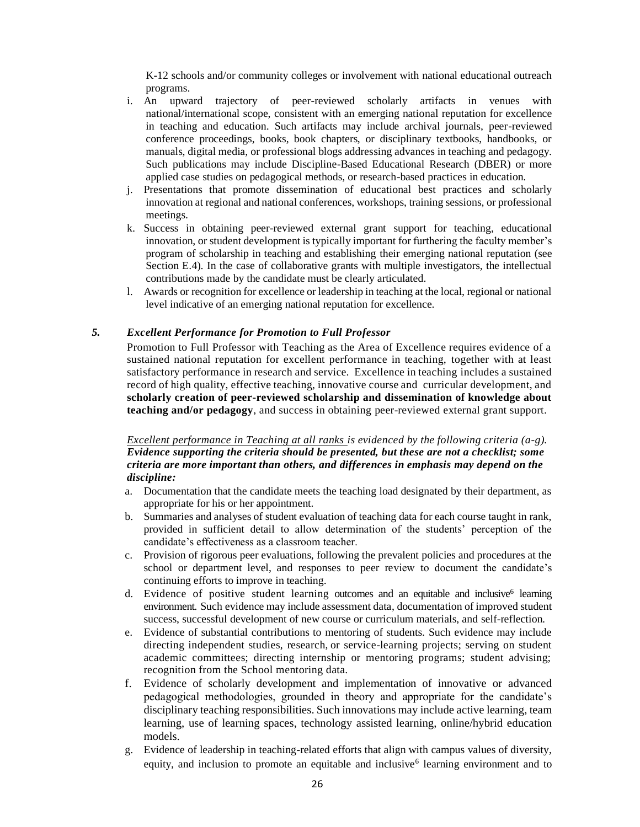K-12 schools and/or community colleges or involvement with national educational outreach programs.

- i. An upward trajectory of peer-reviewed scholarly artifacts in venues with national/international scope, consistent with an emerging national reputation for excellence in teaching and education. Such artifacts may include archival journals, peer-reviewed conference proceedings, books, book chapters, or disciplinary textbooks, handbooks, or manuals, digital media, or professional blogs addressing advances in teaching and pedagogy. Such publications may include Discipline-Based Educational Research (DBER) or more applied case studies on pedagogical methods, or research-based practices in education.
- j. Presentations that promote dissemination of educational best practices and scholarly innovation at regional and national conferences, workshops, training sessions, or professional meetings.
- k. Success in obtaining peer-reviewed external grant support for teaching, educational innovation, or student development is typically important for furthering the faculty member's program of scholarship in teaching and establishing their emerging national reputation (see Section E.4). In the case of collaborative grants with multiple investigators, the intellectual contributions made by the candidate must be clearly articulated.
- l. Awards or recognition for excellence or leadership in teaching at the local, regional or national level indicative of an emerging national reputation for excellence.

#### *5. Excellent Performance for Promotion to Full Professor*

Promotion to Full Professor with Teaching as the Area of Excellence requires evidence of a sustained national reputation for excellent performance in teaching, together with at least satisfactory performance in research and service. Excellence in teaching includes a sustained record of high quality, effective teaching, innovative course and curricular development, and **scholarly creation of peer-reviewed scholarship and dissemination of knowledge about teaching and/or pedagogy**, and success in obtaining peer-reviewed external grant support.

*Excellent performance in Teaching at all ranks is evidenced by the following criteria (a-g). Evidence supporting the criteria should be presented, but these are not a checklist; some criteria are more important than others, and differences in emphasis may depend on the discipline:*

- a. Documentation that the candidate meets the teaching load designated by their department, as appropriate for his or her appointment.
- b. Summaries and analyses of student evaluation of teaching data for each course taught in rank, provided in sufficient detail to allow determination of the students' perception of the candidate's effectiveness as a classroom teacher.
- c. Provision of rigorous peer evaluations, following the prevalent policies and procedures at the school or department level, and responses to peer review to document the candidate's continuing efforts to improve in teaching.
- d. Evidence of positive student learning outcomes and an equitable and inclusive<sup>6</sup> learning environment. Such evidence may include assessment data, documentation of improved student success, successful development of new course or curriculum materials, and self-reflection.
- e. Evidence of substantial contributions to mentoring of students. Such evidence may include directing independent studies, research, or service-learning projects; serving on student academic committees; directing internship or mentoring programs; student advising; recognition from the School mentoring data.
- f. Evidence of scholarly development and implementation of innovative or advanced pedagogical methodologies, grounded in theory and appropriate for the candidate's disciplinary teaching responsibilities. Such innovations may include active learning, team learning, use of learning spaces, technology assisted learning, online/hybrid education models.
- g. Evidence of leadership in teaching-related efforts that align with campus values of diversity, equity, and inclusion to promote an equitable and inclusive<sup>6</sup> learning environment and to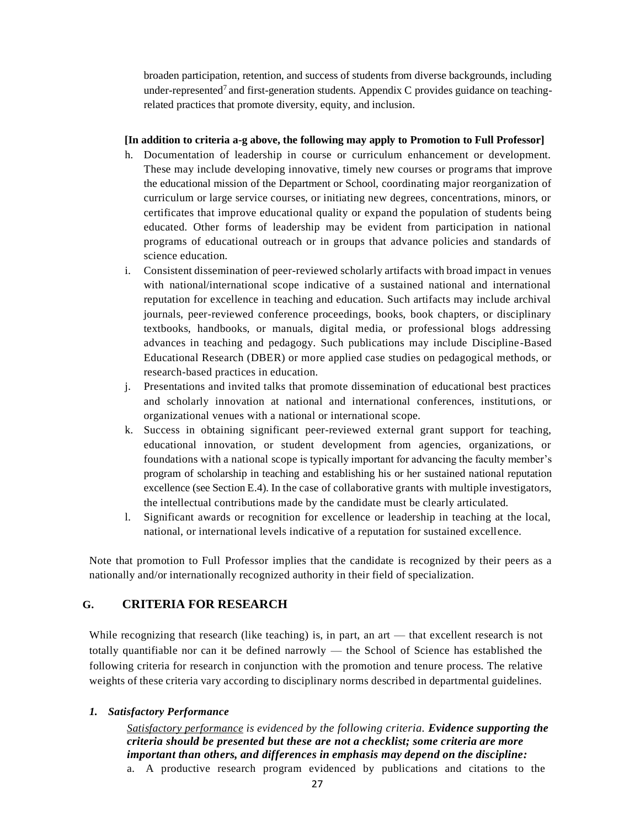broaden participation, retention, and success of students from diverse backgrounds, including under-represented<sup>7</sup> and first-generation students. Appendix C provides guidance on teachingrelated practices that promote diversity, equity, and inclusion.

#### **[In addition to criteria a-g above, the following may apply to Promotion to Full Professor]**

- h. Documentation of leadership in course or curriculum enhancement or development. These may include developing innovative, timely new courses or programs that improve the educational mission of the Department or School, coordinating major reorganization of curriculum or large service courses, or initiating new degrees, concentrations, minors, or certificates that improve educational quality or expand the population of students being educated. Other forms of leadership may be evident from participation in national programs of educational outreach or in groups that advance policies and standards of science education.
- i. Consistent dissemination of peer-reviewed scholarly artifacts with broad impact in venues with national/international scope indicative of a sustained national and international reputation for excellence in teaching and education. Such artifacts may include archival journals, peer-reviewed conference proceedings, books, book chapters, or disciplinary textbooks, handbooks, or manuals, digital media, or professional blogs addressing advances in teaching and pedagogy. Such publications may include Discipline-Based Educational Research (DBER) or more applied case studies on pedagogical methods, or research-based practices in education.
- j. Presentations and invited talks that promote dissemination of educational best practices and scholarly innovation at national and international conferences, institutions, or organizational venues with a national or international scope.
- k. Success in obtaining significant peer-reviewed external grant support for teaching, educational innovation, or student development from agencies, organizations, or foundations with a national scope is typically important for advancing the faculty member's program of scholarship in teaching and establishing his or her sustained national reputation excellence (see Section E.4). In the case of collaborative grants with multiple investigators, the intellectual contributions made by the candidate must be clearly articulated.
- l. Significant awards or recognition for excellence or leadership in teaching at the local, national, or international levels indicative of a reputation for sustained excellence.

Note that promotion to Full Professor implies that the candidate is recognized by their peers as a nationally and/or internationally recognized authority in their field of specialization.

### **G. CRITERIA FOR RESEARCH**

While recognizing that research (like teaching) is, in part, an art — that excellent research is not totally quantifiable nor can it be defined narrowly — the School of Science has established the following criteria for research in conjunction with the promotion and tenure process. The relative weights of these criteria vary according to disciplinary norms described in departmental guidelines.

#### *1. Satisfactory Performance*

*Satisfactory performance is evidenced by the following criteria. Evidence supporting the criteria should be presented but these are not a checklist; some criteria are more important than others, and differences in emphasis may depend on the discipline:* a. A productive research program evidenced by publications and citations to the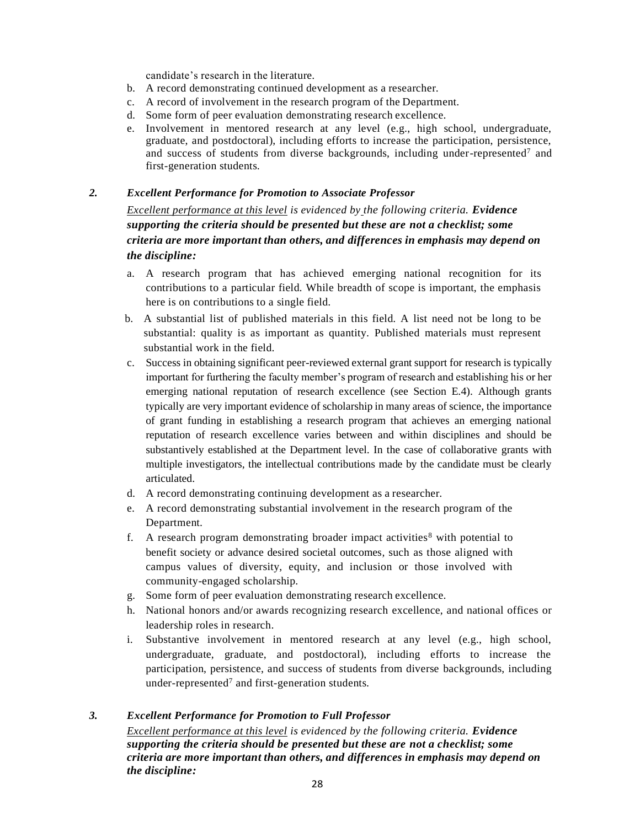candidate's research in the literature.

- b. A record demonstrating continued development as a researcher.
- c. A record of involvement in the research program of the Department.
- d. Some form of peer evaluation demonstrating research excellence.
- e. Involvement in mentored research at any level (e.g., high school, undergraduate, graduate, and postdoctoral), including efforts to increase the participation, persistence, and success of students from diverse backgrounds, including under-represented<sup>7</sup> and first-generation students.

#### *2. Excellent Performance for Promotion to Associate Professor*

*Excellent performance at this level is evidenced by the following criteria. Evidence supporting the criteria should be presented but these are not a checklist; some criteria are more important than others, and differences in emphasis may depend on the discipline:*

- a. A research program that has achieved emerging national recognition for its contributions to a particular field. While breadth of scope is important, the emphasis here is on contributions to a single field.
- b. A substantial list of published materials in this field. A list need not be long to be substantial: quality is as important as quantity. Published materials must represent substantial work in the field.
- c. Success in obtaining significant peer-reviewed external grant support for research is typically important for furthering the faculty member's program of research and establishing his or her emerging national reputation of research excellence (see Section E.4). Although grants typically are very important evidence of scholarship in many areas of science, the importance of grant funding in establishing a research program that achieves an emerging national reputation of research excellence varies between and within disciplines and should be substantively established at the Department level. In the case of collaborative grants with multiple investigators, the intellectual contributions made by the candidate must be clearly articulated.
- d. A record demonstrating continuing development as a researcher.
- e. A record demonstrating substantial involvement in the research program of the Department.
- f. A research program demonstrating broader impact activities<sup>8</sup> with potential to benefit society or advance desired societal outcomes*,* such as those aligned with campus values of diversity, equity, and inclusion or those involved with community-engaged scholarship.
- g. Some form of peer evaluation demonstrating research excellence.
- h. National honors and/or awards recognizing research excellence, and national offices or leadership roles in research.
- i. Substantive involvement in mentored research at any level (e.g., high school, undergraduate, graduate, and postdoctoral), including efforts to increase the participation, persistence, and success of students from diverse backgrounds, including under-represented<sup>7</sup> and first-generation students.

#### *3. Excellent Performance for Promotion to Full Professor*

*Excellent performance at this level is evidenced by the following criteria. Evidence supporting the criteria should be presented but these are not a checklist; some criteria are more important than others, and differences in emphasis may depend on the discipline:*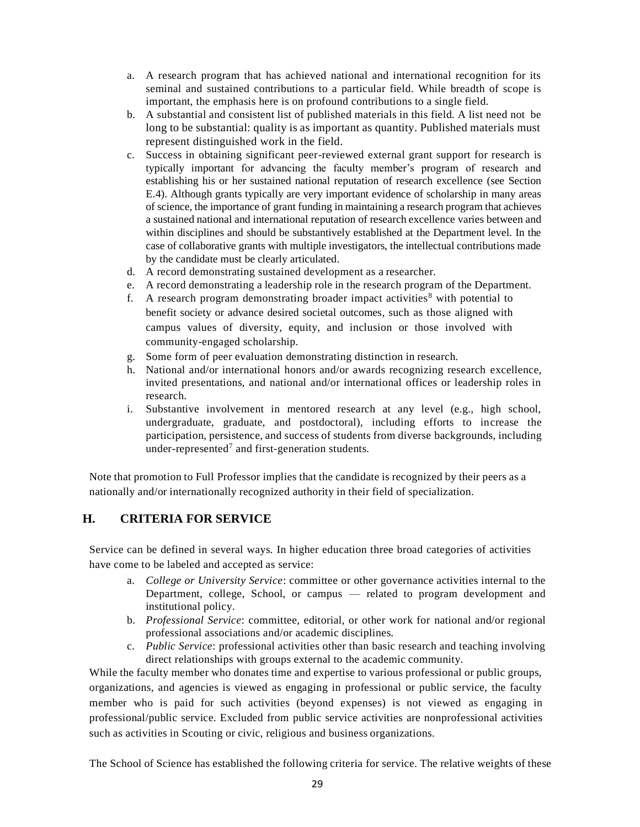- a. A research program that has achieved national and international recognition for its seminal and sustained contributions to a particular field. While breadth of scope is important, the emphasis here is on profound contributions to a single field.
- b. A substantial and consistent list of published materials in this field. A list need not be long to be substantial: quality is as important as quantity. Published materials must represent distinguished work in the field.
- c. Success in obtaining significant peer-reviewed external grant support for research is typically important for advancing the faculty member's program of research and establishing his or her sustained national reputation of research excellence (see Section E.4). Although grants typically are very important evidence of scholarship in many areas of science, the importance of grant funding in maintaining a research program that achieves a sustained national and international reputation of research excellence varies between and within disciplines and should be substantively established at the Department level. In the case of collaborative grants with multiple investigators, the intellectual contributions made by the candidate must be clearly articulated.
- d. A record demonstrating sustained development as a researcher.
- e. A record demonstrating a leadership role in the research program of the Department.
- f. A research program demonstrating broader impact activities<sup>8</sup> with potential to benefit society or advance desired societal outcomes*,* such as those aligned with campus values of diversity, equity, and inclusion or those involved with community-engaged scholarship.
- g. Some form of peer evaluation demonstrating distinction in research.
- h. National and/or international honors and/or awards recognizing research excellence, invited presentations, and national and/or international offices or leadership roles in research.
- i. Substantive involvement in mentored research at any level (e.g., high school, undergraduate, graduate, and postdoctoral), including efforts to increase the participation, persistence, and success of students from diverse backgrounds, including under-represented<sup>7</sup> and first-generation students.

Note that promotion to Full Professor implies that the candidate is recognized by their peers as a nationally and/or internationally recognized authority in their field of specialization.

## **H. CRITERIA FOR SERVICE**

Service can be defined in several ways. In higher education three broad categories of activities have come to be labeled and accepted as service:

- a. *College or University Service*: committee or other governance activities internal to the Department, college, School, or campus — related to program development and institutional policy.
- b. *Professional Service*: committee, editorial, or other work for national and/or regional professional associations and/or academic disciplines.
- c. *Public Service*: professional activities other than basic research and teaching involving direct relationships with groups external to the academic community.

While the faculty member who donates time and expertise to various professional or public groups, organizations, and agencies is viewed as engaging in professional or public service, the faculty member who is paid for such activities (beyond expenses) is not viewed as engaging in professional/public service. Excluded from public service activities are nonprofessional activities such as activities in Scouting or civic, religious and business organizations.

The School of Science has established the following criteria for service. The relative weights of these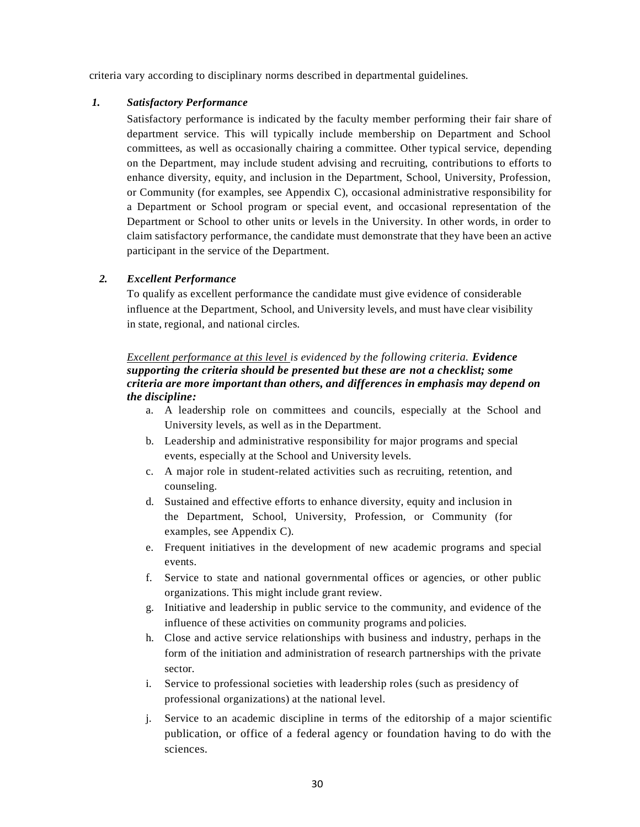criteria vary according to disciplinary norms described in departmental guidelines.

#### *1. Satisfactory Performance*

Satisfactory performance is indicated by the faculty member performing their fair share of department service. This will typically include membership on Department and School committees, as well as occasionally chairing a committee. Other typical service, depending on the Department, may include student advising and recruiting, contributions to efforts to enhance diversity, equity, and inclusion in the Department, School, University, Profession, or Community (for examples, see Appendix C), occasional administrative responsibility for a Department or School program or special event, and occasional representation of the Department or School to other units or levels in the University. In other words, in order to claim satisfactory performance, the candidate must demonstrate that they have been an active participant in the service of the Department.

### *2. Excellent Performance*

To qualify as excellent performance the candidate must give evidence of considerable influence at the Department, School, and University levels, and must have clear visibility in state, regional, and national circles.

### *Excellent performance at this level is evidenced by the following criteria. Evidence supporting the criteria should be presented but these are not a checklist; some criteria are more important than others, and differences in emphasis may depend on the discipline:*

- a. A leadership role on committees and councils, especially at the School and University levels, as well as in the Department.
- b. Leadership and administrative responsibility for major programs and special events, especially at the School and University levels.
- c. A major role in student-related activities such as recruiting, retention, and counseling.
- d. Sustained and effective efforts to enhance diversity, equity and inclusion in the Department, School, University, Profession, or Community (for examples, see Appendix C).
- e. Frequent initiatives in the development of new academic programs and special events.
- f. Service to state and national governmental offices or agencies, or other public organizations. This might include grant review.
- g. Initiative and leadership in public service to the community, and evidence of the influence of these activities on community programs and policies.
- h. Close and active service relationships with business and industry, perhaps in the form of the initiation and administration of research partnerships with the private sector.
- i. Service to professional societies with leadership roles (such as presidency of professional organizations) at the national level.
- j. Service to an academic discipline in terms of the editorship of a major scientific publication, or office of a federal agency or foundation having to do with the sciences.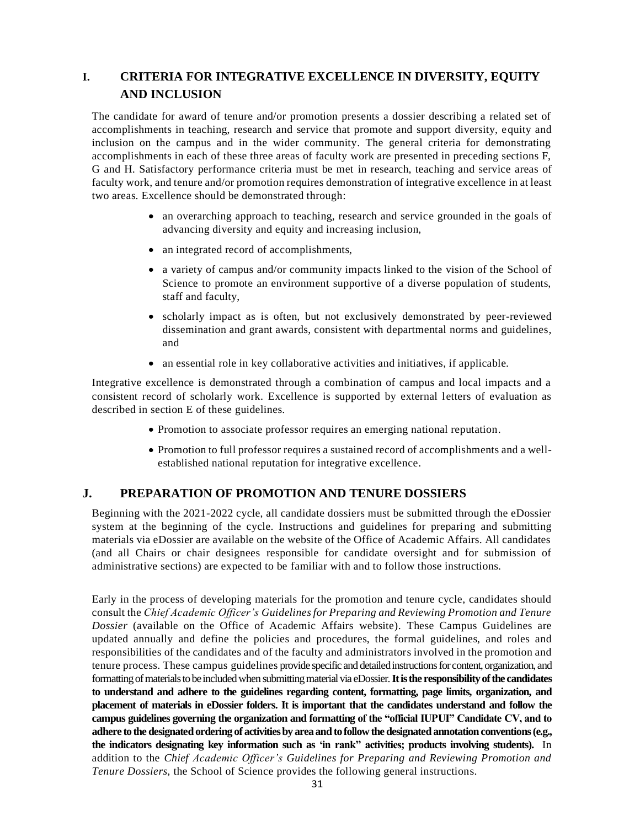# **I. CRITERIA FOR INTEGRATIVE EXCELLENCE IN DIVERSITY, EQUITY AND INCLUSION**

The candidate for award of tenure and/or promotion presents a dossier describing a related set of accomplishments in teaching, research and service that promote and support diversity, equity and inclusion on the campus and in the wider community. The general criteria for demonstrating accomplishments in each of these three areas of faculty work are presented in preceding sections F, G and H. Satisfactory performance criteria must be met in research, teaching and service areas of faculty work, and tenure and/or promotion requires demonstration of integrative excellence in at least two areas. Excellence should be demonstrated through:

- an overarching approach to teaching, research and service grounded in the goals of advancing diversity and equity and increasing inclusion,
- an integrated record of accomplishments,
- a variety of campus and/or community impacts linked to the vision of the School of Science to promote an environment supportive of a diverse population of students, staff and faculty,
- scholarly impact as is often, but not exclusively demonstrated by peer-reviewed dissemination and grant awards, consistent with departmental norms and guidelines, and
- an essential role in key collaborative activities and initiatives, if applicable.

Integrative excellence is demonstrated through a combination of campus and local impacts and a consistent record of scholarly work. Excellence is supported by external letters of evaluation as described in section E of these guidelines.

- Promotion to associate professor requires an emerging national reputation.
- Promotion to full professor requires a sustained record of accomplishments and a wellestablished national reputation for integrative excellence.

# **J. PREPARATION OF PROMOTION AND TENURE DOSSIERS**

Beginning with the 2021-2022 cycle, all candidate dossiers must be submitted through the eDossier system at the beginning of the cycle. Instructions and guidelines for preparing and submitting materials via eDossier are available on the website of the Office of Academic Affairs. All candidates (and all Chairs or chair designees responsible for candidate oversight and for submission of administrative sections) are expected to be familiar with and to follow those instructions.

Early in the process of developing materials for the promotion and tenure cycle, candidates should consult the *Chief Academic Officer's Guidelines for Preparing and Reviewing Promotion and Tenure Dossier* (available on the Office of Academic Affairs website)*.* These Campus Guidelines are updated annually and define the policies and procedures, the formal guidelines, and roles and responsibilities of the candidates and of the faculty and administrators involved in the promotion and tenure process. These campus guidelines provide specific and detailed instructions for content, organization, and formatting of materials to be included when submitting material via eDossier. **It is the responsibility of the candidates to understand and adhere to the guidelines regarding content, formatting, page limits, organization, and placement of materials in eDossier folders. It is important that the candidates understand and follow the campus guidelines governing the organization and formatting of the "official IUPUI" Candidate CV, and to adhere to the designated ordering of activities by area and to follow the designated annotation conventions (e.g., the indicators designating key information such as 'in rank" activities; products involving students).** In addition to the *Chief Academic Officer's Guidelines for Preparing and Reviewing Promotion and Tenure Dossiers,* the School of Science provides the following general instructions.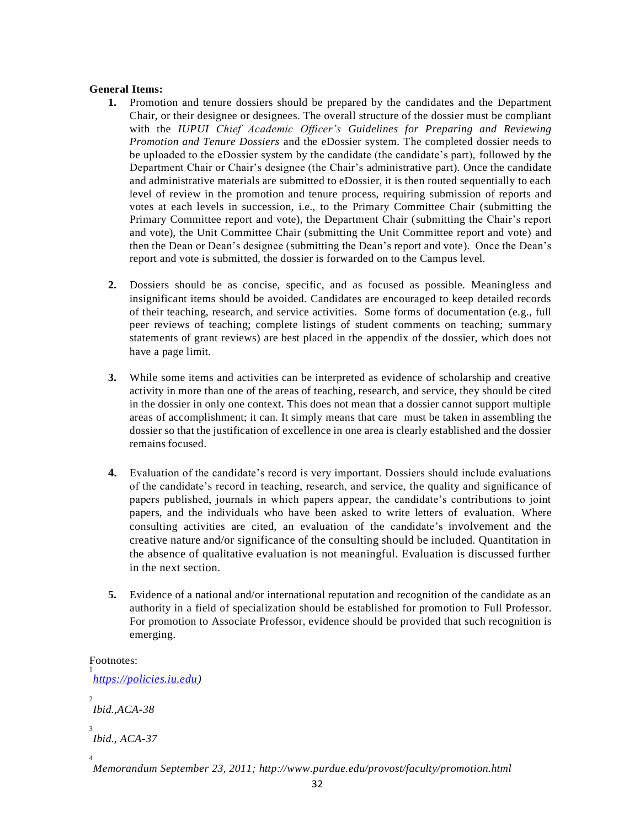#### **General Items:**

- **1.** Promotion and tenure dossiers should be prepared by the candidates and the Department Chair, or their designee or designees. The overall structure of the dossier must be compliant with the *IUPUI Chief Academic Officer's Guidelines for Preparing and Reviewing Promotion and Tenure Dossiers* and the eDossier system. The completed dossier needs to be uploaded to the eDossier system by the candidate (the candidate's part), followed by the Department Chair or Chair's designee (the Chair's administrative part). Once the candidate and administrative materials are submitted to eDossier, it is then routed sequentially to each level of review in the promotion and tenure process, requiring submission of reports and votes at each levels in succession, i.e., to the Primary Committee Chair (submitting the Primary Committee report and vote), the Department Chair (submitting the Chair's report and vote), the Unit Committee Chair (submitting the Unit Committee report and vote) and then the Dean or Dean's designee (submitting the Dean's report and vote). Once the Dean's report and vote is submitted, the dossier is forwarded on to the Campus level.
- **2.** Dossiers should be as concise, specific, and as focused as possible. Meaningless and insignificant items should be avoided. Candidates are encouraged to keep detailed records of their teaching, research, and service activities. Some forms of documentation (e.g., full peer reviews of teaching; complete listings of student comments on teaching; summary statements of grant reviews) are best placed in the appendix of the dossier, which does not have a page limit.
- **3.** While some items and activities can be interpreted as evidence of scholarship and creative activity in more than one of the areas of teaching, research, and service, they should be cited in the dossier in only one context. This does not mean that a dossier cannot support multiple areas of accomplishment; it can. It simply means that care must be taken in assembling the dossier so that the justification of excellence in one area is clearly established and the dossier remains focused.
- **4.** Evaluation of the candidate's record is very important. Dossiers should include evaluations of the candidate's record in teaching, research, and service, the quality and significance of papers published, journals in which papers appear, the candidate's contributions to joint papers, and the individuals who have been asked to write letters of evaluation. Where consulting activities are cited, an evaluation of the candidate's involvement and the creative nature and/or significance of the consulting should be included. Quantitation in the absence of qualitative evaluation is not meaningful. Evaluation is discussed further in the next section.
- **5.** Evidence of a national and/or international reputation and recognition of the candidate as an authority in a field of specialization should be established for promotion to Full Professor. For promotion to Associate Professor, evidence should be provided that such recognition is emerging.

Footnotes: 1 *[https://policies.iu.edu\)](https://policies.iu.edu/)* 2

```
Ibid. ACA-38
```
3

```
Ibid., ACA-37
```
4

*Memorandum September 23, 2011;<http://www.purdue.edu/provost/faculty/promotion.html>*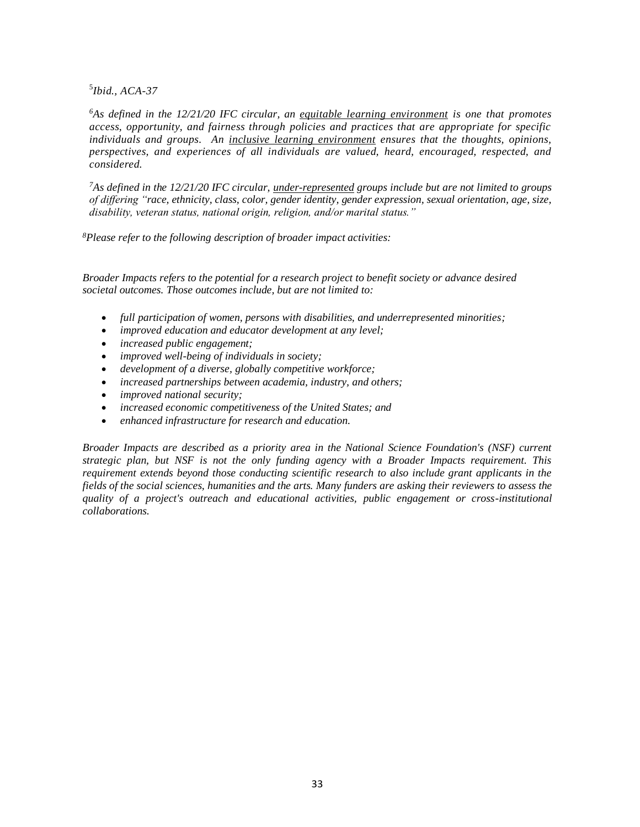5 *Ibid., ACA-37*

*<sup>6</sup>As defined in the 12/21/20 IFC circular, an equitable learning environment is one that promotes access, opportunity, and fairness through policies and practices that are appropriate for specific individuals and groups. An inclusive learning environment ensures that the thoughts, opinions, perspectives, and experiences of all individuals are valued, heard, encouraged, respected, and considered.* 

*<sup>7</sup>As defined in the 12/21/20 IFC circular, under-represented groups include but are not limited to groups of differing "race, ethnicity, class, color, gender identity, gender expression, sexual orientation, age, size, disability, veteran status, national origin, religion, and/or marital status."* 

*<sup>8</sup>Please refer to the following description of broader impact activities:* 

*Broader Impacts refers to the potential for a research project to benefit society or advance desired societal outcomes. Those outcomes include, but are not limited to:* 

- *full participation of women, persons with disabilities, and underrepresented minorities;*
- *improved education and educator development at any level;*
- *increased public engagement;*
- *improved well-being of individuals in society;*
- *development of a diverse, globally competitive workforce;*
- *increased partnerships between academia, industry, and others;*
- *improved national security;*
- *increased economic competitiveness of the United States; and*
- *enhanced infrastructure for research and education.*

*Broader Impacts are described as a priority area in the National Science Foundation's (NSF) current strategic plan, but NSF is not the only funding agency with a Broader Impacts requirement. This requirement extends beyond those conducting scientific research to also include grant applicants in the fields of the social sciences, humanities and the arts. Many funders are asking their reviewers to assess the quality of a project's outreach and educational activities, public engagement or cross-institutional collaborations.*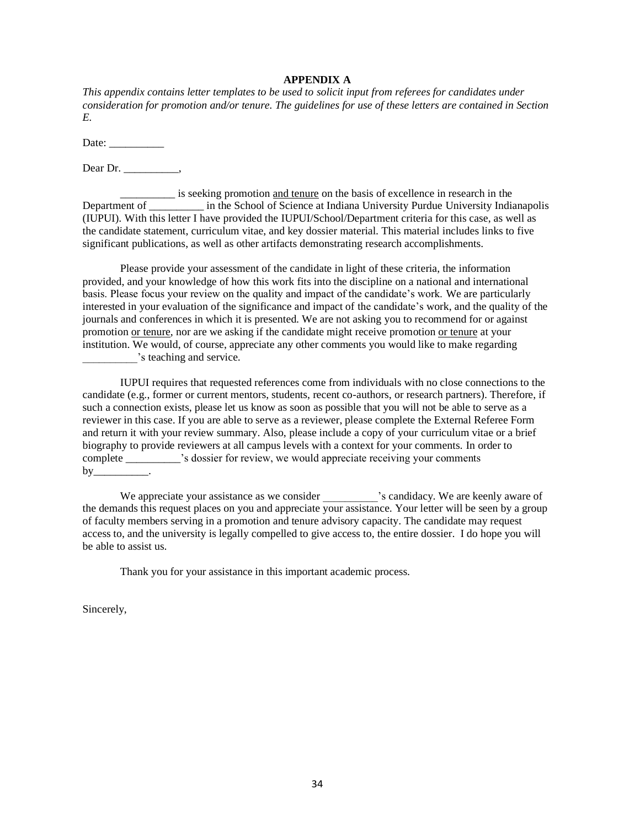#### **APPENDIX A**

*This appendix contains letter templates to be used to solicit input from referees for candidates under consideration for promotion and/or tenure. The guidelines for use of these letters are contained in Section E.*

Date: \_\_\_\_\_\_\_\_\_\_

Dear Dr. \_\_\_\_\_\_\_\_\_\_\_\_\_,

is seeking promotion and tenure on the basis of excellence in research in the Department of \_\_\_\_\_\_\_\_\_\_ in the School of Science at Indiana University Purdue University Indianapolis (IUPUI). With this letter I have provided the IUPUI/School/Department criteria for this case, as well as the candidate statement, curriculum vitae, and key dossier material. This material includes links to five significant publications, as well as other artifacts demonstrating research accomplishments.

Please provide your assessment of the candidate in light of these criteria, the information provided, and your knowledge of how this work fits into the discipline on a national and international basis. Please focus your review on the quality and impact of the candidate's work. We are particularly interested in your evaluation of the significance and impact of the candidate's work, and the quality of the journals and conferences in which it is presented. We are not asking you to recommend for or against promotion or tenure, nor are we asking if the candidate might receive promotion or tenure at your institution. We would, of course, appreciate any other comments you would like to make regarding \_\_\_\_\_\_\_\_\_\_'s teaching and service.

IUPUI requires that requested references come from individuals with no close connections to the candidate (e.g., former or current mentors, students, recent co-authors, or research partners). Therefore, if such a connection exists, please let us know as soon as possible that you will not be able to serve as a reviewer in this case. If you are able to serve as a reviewer, please complete the External Referee Form and return it with your review summary. Also, please include a copy of your curriculum vitae or a brief biography to provide reviewers at all campus levels with a context for your comments. In order to complete \_\_\_\_\_\_\_\_\_\_'s dossier for review, we would appreciate receiving your comments  $by_\_$ 

We appreciate your assistance as we consider  $\cdot$  s candidacy. We are keenly aware of the demands this request places on you and appreciate your assistance. Your letter will be seen by a group of faculty members serving in a promotion and tenure advisory capacity. The candidate may request access to, and the university is legally compelled to give access to, the entire dossier. I do hope you will be able to assist us.

Thank you for your assistance in this important academic process.

Sincerely,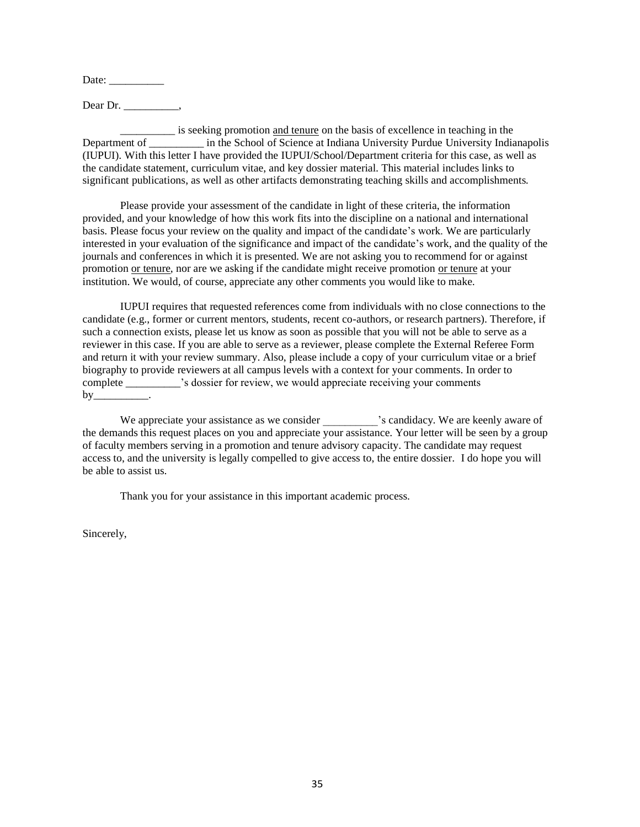Date:

Dear Dr. \_\_\_\_\_\_\_\_\_\_\_\_,

\_\_\_\_\_\_\_\_\_\_ is seeking promotion and tenure on the basis of excellence in teaching in the Department of \_\_\_\_\_\_\_\_\_\_ in the School of Science at Indiana University Purdue University Indianapolis (IUPUI). With this letter I have provided the IUPUI/School/Department criteria for this case, as well as the candidate statement, curriculum vitae, and key dossier material. This material includes links to significant publications, as well as other artifacts demonstrating teaching skills and accomplishments.

Please provide your assessment of the candidate in light of these criteria, the information provided, and your knowledge of how this work fits into the discipline on a national and international basis. Please focus your review on the quality and impact of the candidate's work. We are particularly interested in your evaluation of the significance and impact of the candidate's work, and the quality of the journals and conferences in which it is presented. We are not asking you to recommend for or against promotion or tenure, nor are we asking if the candidate might receive promotion or tenure at your institution. We would, of course, appreciate any other comments you would like to make.

IUPUI requires that requested references come from individuals with no close connections to the candidate (e.g., former or current mentors, students, recent co-authors, or research partners). Therefore, if such a connection exists, please let us know as soon as possible that you will not be able to serve as a reviewer in this case. If you are able to serve as a reviewer, please complete the External Referee Form and return it with your review summary. Also, please include a copy of your curriculum vitae or a brief biography to provide reviewers at all campus levels with a context for your comments. In order to complete \_\_\_\_\_\_\_\_\_\_'s dossier for review, we would appreciate receiving your comments  $by$ \_\_\_\_\_\_\_\_\_\_\_\_\_.

We appreciate your assistance as we consider  $\cdot$  is candidacy. We are keenly aware of the demands this request places on you and appreciate your assistance. Your letter will be seen by a group of faculty members serving in a promotion and tenure advisory capacity. The candidate may request access to, and the university is legally compelled to give access to, the entire dossier. I do hope you will be able to assist us.

Thank you for your assistance in this important academic process.

Sincerely,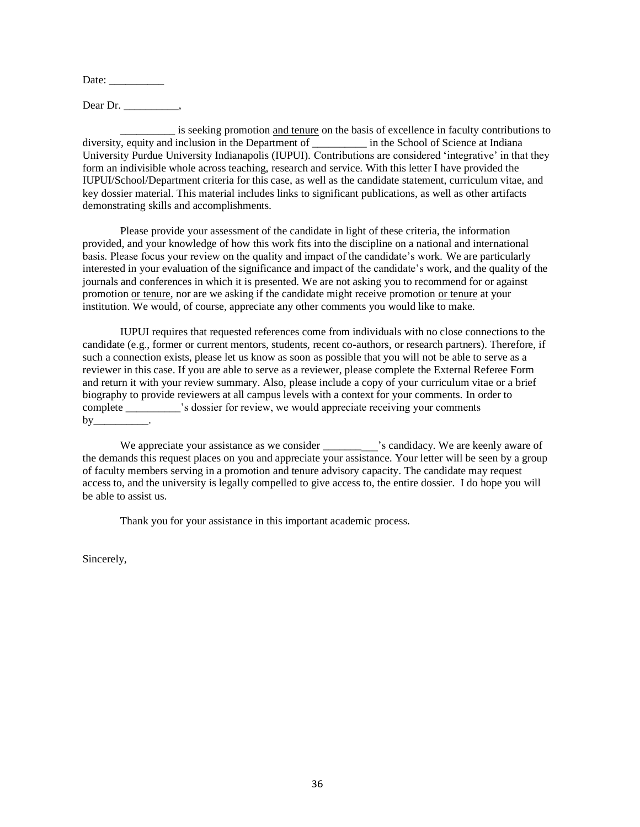Date:

Dear Dr. \_\_\_\_\_\_\_\_\_\_\_\_,

\_\_\_\_\_\_\_\_\_\_ is seeking promotion and tenure on the basis of excellence in faculty contributions to diversity, equity and inclusion in the Department of \_\_\_\_\_\_\_\_\_\_ in the School of Science at Indiana University Purdue University Indianapolis (IUPUI). Contributions are considered 'integrative' in that they form an indivisible whole across teaching, research and service. With this letter I have provided the IUPUI/School/Department criteria for this case, as well as the candidate statement, curriculum vitae, and key dossier material. This material includes links to significant publications, as well as other artifacts demonstrating skills and accomplishments.

Please provide your assessment of the candidate in light of these criteria, the information provided, and your knowledge of how this work fits into the discipline on a national and international basis. Please focus your review on the quality and impact of the candidate's work. We are particularly interested in your evaluation of the significance and impact of the candidate's work, and the quality of the journals and conferences in which it is presented. We are not asking you to recommend for or against promotion or tenure, nor are we asking if the candidate might receive promotion or tenure at your institution. We would, of course, appreciate any other comments you would like to make.

IUPUI requires that requested references come from individuals with no close connections to the candidate (e.g., former or current mentors, students, recent co-authors, or research partners). Therefore, if such a connection exists, please let us know as soon as possible that you will not be able to serve as a reviewer in this case. If you are able to serve as a reviewer, please complete the External Referee Form and return it with your review summary. Also, please include a copy of your curriculum vitae or a brief biography to provide reviewers at all campus levels with a context for your comments. In order to complete \_\_\_\_\_\_\_\_\_\_'s dossier for review, we would appreciate receiving your comments by  $\qquad \qquad .$ 

We appreciate your assistance as we consider \_\_\_\_\_\_\_\_\_\_\_ 's candidacy. We are keenly aware of the demands this request places on you and appreciate your assistance. Your letter will be seen by a group of faculty members serving in a promotion and tenure advisory capacity. The candidate may request access to, and the university is legally compelled to give access to, the entire dossier. I do hope you will be able to assist us.

Thank you for your assistance in this important academic process.

Sincerely,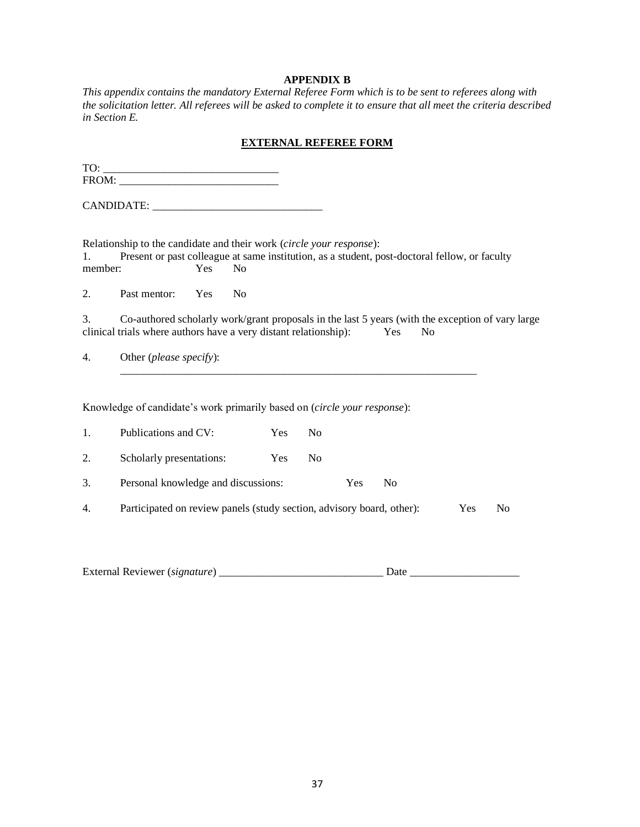### **APPENDIX B**

*This appendix contains the mandatory External Referee Form which is to be sent to referees along with the solicitation letter. All referees will be asked to complete it to ensure that all meet the criteria described in Section E.*

# **EXTERNAL REFEREE FORM**

|               | $\begin{tabular}{c} T0: \end{tabular}$                                                                                                                                |                                                                                    |                |     |                |    |     |                |  |  |
|---------------|-----------------------------------------------------------------------------------------------------------------------------------------------------------------------|------------------------------------------------------------------------------------|----------------|-----|----------------|----|-----|----------------|--|--|
|               |                                                                                                                                                                       |                                                                                    |                |     |                |    |     |                |  |  |
| 1.<br>member: | Relationship to the candidate and their work (circle your response):<br>Present or past colleague at same institution, as a student, post-doctoral fellow, or faculty | Yes                                                                                | N <sub>0</sub> |     |                |    |     |                |  |  |
| 2.            | Past mentor:                                                                                                                                                          | Yes                                                                                | N <sub>0</sub> |     |                |    |     |                |  |  |
| 3.            | Co-authored scholarly work/grant proposals in the last 5 years (with the exception of vary large<br>clinical trials where authors have a very distant relationship):  |                                                                                    |                |     |                |    | Yes | N <sub>0</sub> |  |  |
| 4.            | Other (please specify):                                                                                                                                               |                                                                                    |                |     |                |    |     |                |  |  |
|               | Knowledge of candidate's work primarily based on (circle your response):                                                                                              |                                                                                    |                |     |                |    |     |                |  |  |
| 1.            | Publications and CV:                                                                                                                                                  |                                                                                    |                | Yes | N <sub>0</sub> |    |     |                |  |  |
| 2.            | Scholarly presentations:                                                                                                                                              |                                                                                    |                | Yes | N <sub>0</sub> |    |     |                |  |  |
| 3.            | Personal knowledge and discussions:                                                                                                                                   |                                                                                    |                |     | Yes            | No |     |                |  |  |
| 4.            |                                                                                                                                                                       | Participated on review panels (study section, advisory board, other):<br>Yes<br>No |                |     |                |    |     |                |  |  |

| External Reviewer (signature) |  |
|-------------------------------|--|
|-------------------------------|--|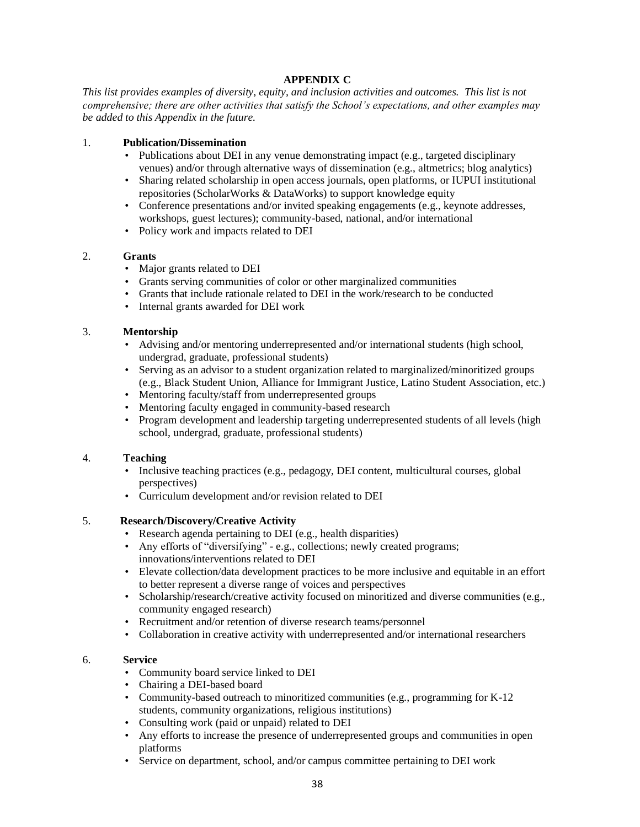### **APPENDIX C**

*This list provides examples of diversity, equity, and inclusion activities and outcomes. This list is not comprehensive; there are other activities that satisfy the School's expectations, and other examples may be added to this Appendix in the future.* 

#### 1. **Publication/Dissemination**

- Publications about DEI in any venue demonstrating impact (e.g., targeted disciplinary venues) and/or through alternative ways of dissemination (e.g., altmetrics; blog analytics)
- Sharing related scholarship in open access journals, open platforms, or IUPUI institutional repositories (ScholarWorks & DataWorks) to support knowledge equity
- Conference presentations and/or invited speaking engagements (e.g., keynote addresses, workshops, guest lectures); community-based, national, and/or international
- Policy work and impacts related to DEI

#### 2. **Grants**

- Major grants related to DEI
- Grants serving communities of color or other marginalized communities
- Grants that include rationale related to DEI in the work/research to be conducted
- Internal grants awarded for DEI work

#### 3. **Mentorship**

- Advising and/or mentoring underrepresented and/or international students (high school, undergrad, graduate, professional students)
- Serving as an advisor to a student organization related to marginalized/minoritized groups (e.g., Black Student Union, Alliance for Immigrant Justice, Latino Student Association, etc.)
- Mentoring faculty/staff from underrepresented groups
- Mentoring faculty engaged in community-based research
- Program development and leadership targeting underrepresented students of all levels (high school, undergrad, graduate, professional students)

#### 4. **Teaching**

- Inclusive teaching practices (e.g., pedagogy, DEI content, multicultural courses, global perspectives)
- Curriculum development and/or revision related to DEI

### 5. **Research/Discovery/Creative Activity**

- Research agenda pertaining to DEI (e.g., health disparities)
- Any efforts of "diversifying" e.g., collections; newly created programs; innovations/interventions related to DEI
- Elevate collection/data development practices to be more inclusive and equitable in an effort to better represent a diverse range of voices and perspectives
- Scholarship/research/creative activity focused on minoritized and diverse communities (e.g., community engaged research)
- Recruitment and/or retention of diverse research teams/personnel
- Collaboration in creative activity with underrepresented and/or international researchers

#### 6. **Service**

- Community board service linked to DEI
- Chairing a DEI-based board
- Community-based outreach to minoritized communities (e.g., programming for K-12 students, community organizations, religious institutions)
- Consulting work (paid or unpaid) related to DEI
- Any efforts to increase the presence of underrepresented groups and communities in open platforms
- Service on department, school, and/or campus committee pertaining to DEI work